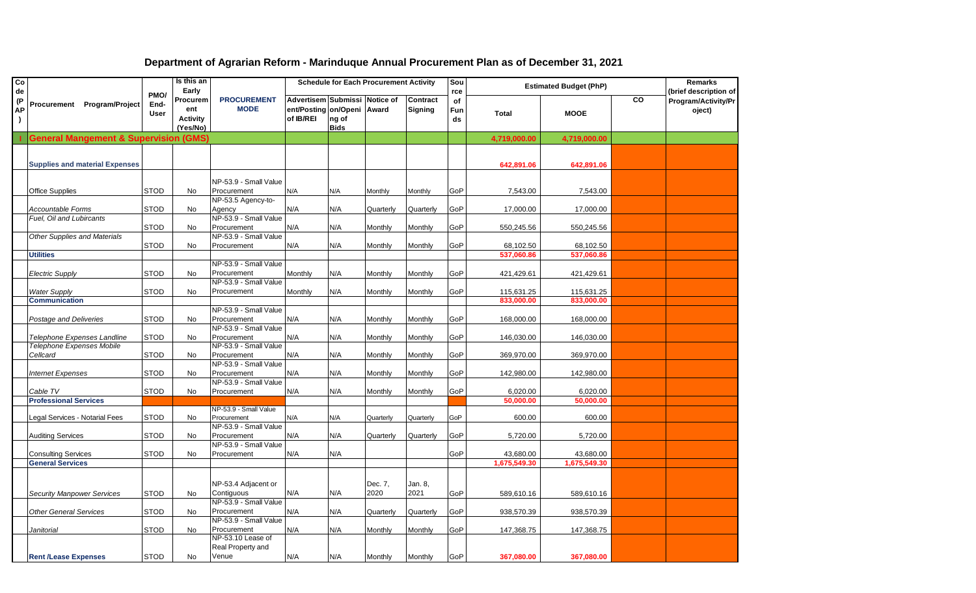| Co        |                                                  |             | Is this an      |                                      |                                              |             | <b>Schedule for Each Procurement Activity</b> |                     | Sou       |              | <b>Estimated Budget (PhP)</b> |    | <b>Remarks</b>        |
|-----------|--------------------------------------------------|-------------|-----------------|--------------------------------------|----------------------------------------------|-------------|-----------------------------------------------|---------------------|-----------|--------------|-------------------------------|----|-----------------------|
| de        |                                                  | PMO/        | Early           |                                      |                                              |             |                                               |                     | rce       |              |                               |    | (brief description of |
| (P<br>АP  | <b>Program/Project</b><br>Procurement            | End-        | Procurem<br>ent | <b>PROCUREMENT</b><br><b>MODE</b>    | Advertisem Submissi Notice of<br>ent/Posting | on/Openi    | Award                                         | Contract<br>Signing | of<br>Fun |              |                               | CO | Program/Activity/Pr   |
| $\lambda$ |                                                  | User        | <b>Activity</b> |                                      | of IB/REI                                    | ng of       |                                               |                     | ds        | <b>Total</b> | <b>MOOE</b>                   |    | oject)                |
|           |                                                  |             | (Yes/No)        |                                      |                                              | <b>Bids</b> |                                               |                     |           |              |                               |    |                       |
|           | <b>General Mangement &amp; Supervision (GMS)</b> |             |                 |                                      |                                              |             |                                               |                     |           | 4,719,000.00 | 4,719,000.00                  |    |                       |
|           |                                                  |             |                 |                                      |                                              |             |                                               |                     |           |              |                               |    |                       |
|           | <b>Supplies and material Expenses</b>            |             |                 |                                      |                                              |             |                                               |                     |           | 642,891.06   | 642,891.06                    |    |                       |
|           |                                                  |             |                 |                                      |                                              |             |                                               |                     |           |              |                               |    |                       |
|           |                                                  |             |                 | NP-53.9 - Small Value                |                                              |             |                                               |                     |           |              |                               |    |                       |
|           | <b>Office Supplies</b>                           | <b>STOD</b> | No              | Procurement                          | N/A                                          | N/A         | Monthly                                       | Monthly             | GoP       | 7,543.00     | 7,543.00                      |    |                       |
|           |                                                  |             |                 | NP-53.5 Agency-to-                   |                                              |             |                                               |                     |           |              |                               |    |                       |
|           | Accountable Forms                                | <b>STOD</b> | No              | Agency                               | N/A                                          | N/A         | Quarterly                                     | Quarterly           | GoP       | 17,000.00    | 17,000.00                     |    |                       |
|           | Fuel, Oil and Lubircants                         |             |                 | NP-53.9 - Small Value                |                                              |             |                                               |                     |           |              |                               |    |                       |
|           | <b>Other Supplies and Materials</b>              | <b>STOD</b> | No              | Procurement<br>NP-53.9 - Small Value | N/A                                          | N/A         | Monthly                                       | Monthly             | GoP       | 550,245.56   | 550,245.56                    |    |                       |
|           |                                                  | <b>STOD</b> | No              | Procurement                          | N/A                                          | N/A         | Monthly                                       | Monthly             | GoP       | 68,102.50    | 68,102.50                     |    |                       |
|           | <b>Utilities</b>                                 |             |                 |                                      |                                              |             |                                               |                     |           | 537,060.86   | 537,060.86                    |    |                       |
|           |                                                  |             |                 | NP-53.9 - Small Value                |                                              |             |                                               |                     |           |              |                               |    |                       |
|           | <b>Electric Supply</b>                           | <b>STOD</b> | No              | Procurement                          | Monthly                                      | N/A         | Monthly                                       | Monthly             | GoP       | 421,429.61   | 421,429.61                    |    |                       |
|           |                                                  |             |                 | NP-53.9 - Small Value                |                                              |             |                                               |                     |           |              |                               |    |                       |
|           | <b>Water Supply</b>                              | <b>STOD</b> | <b>No</b>       | Procurement                          | Monthly                                      | N/A         | Monthly                                       | Monthly             | GoP       | 115,631.25   | 115,631.25                    |    |                       |
|           | <b>Communication</b>                             |             |                 |                                      |                                              |             |                                               |                     |           | 833,000.00   | 833,000.00                    |    |                       |
|           |                                                  |             |                 | NP-53.9 - Small Value                |                                              |             |                                               |                     |           |              |                               |    |                       |
|           | Postage and Deliveries                           | <b>STOD</b> | No              | Procurement                          | N/A                                          | N/A         | Monthly                                       | Monthly             | GoP       | 168,000.00   | 168,000.00                    |    |                       |
|           | Telephone Expenses Landline                      | <b>STOD</b> | No              | NP-53.9 - Small Value<br>Procurement | N/A                                          | N/A         | Monthly                                       | Monthly             | GoP       | 146,030.00   | 146,030.00                    |    |                       |
|           | Telephone Expenses Mobile                        |             |                 | NP-53.9 - Small Value                |                                              |             |                                               |                     |           |              |                               |    |                       |
|           | Cellcard                                         | <b>STOD</b> | No              | Procurement                          | N/A                                          | N/A         | Monthly                                       | Monthly             | GoP       | 369,970.00   | 369,970.00                    |    |                       |
|           |                                                  |             |                 | NP-53.9 - Small Value                |                                              |             |                                               |                     |           |              |                               |    |                       |
|           | <b>Internet Expenses</b>                         | <b>STOD</b> | No              | Procurement                          | N/A                                          | N/A         | Monthly                                       | Monthly             | GoP       | 142,980.00   | 142,980.00                    |    |                       |
|           |                                                  |             |                 | NP-53.9 - Small Value                |                                              |             |                                               |                     |           |              |                               |    |                       |
|           | Cable TV                                         | <b>STOD</b> | <b>No</b>       | Procurement                          | N/A                                          | N/A         | Monthly                                       | Monthly             | GoP       | 6,020.00     | 6,020.00                      |    |                       |
|           | <b>Professional Services</b>                     |             |                 |                                      |                                              |             |                                               |                     |           | 50,000.00    | 50,000.00                     |    |                       |
|           | Legal Services - Notarial Fees                   | <b>STOD</b> | No              | NP-53.9 - Small Value<br>Procurement | N/A                                          | N/A         | Quarterly                                     | Quarterly           | GoP       | 600.00       | 600.00                        |    |                       |
|           |                                                  |             |                 | NP-53.9 - Small Value                |                                              |             |                                               |                     |           |              |                               |    |                       |
|           | <b>Auditing Services</b>                         | <b>STOD</b> | No              | Procurement                          | N/A                                          | N/A         | Quarterly                                     | Quarterly           | GoP       | 5,720.00     | 5,720.00                      |    |                       |
|           |                                                  |             |                 | NP-53.9 - Small Value                |                                              |             |                                               |                     |           |              |                               |    |                       |
|           | <b>Consulting Services</b>                       | STOD        | No              | Procurement                          | N/A                                          | N/A         |                                               |                     | GoP       | 43,680.00    | 43,680.00                     |    |                       |
|           | <b>General Services</b>                          |             |                 |                                      |                                              |             |                                               |                     |           | 1,675,549.30 | 1,675,549.30                  |    |                       |
|           |                                                  |             |                 |                                      |                                              |             |                                               |                     |           |              |                               |    |                       |
|           |                                                  |             |                 | NP-53.4 Adjacent or                  |                                              |             | Dec. 7,                                       | Jan. 8,             |           |              |                               |    |                       |
|           | <b>Security Manpower Services</b>                | <b>STOD</b> | No              | Contiguous                           | N/A                                          | N/A         | 2020                                          | 2021                | GoP       | 589,610.16   | 589,610.16                    |    |                       |
|           |                                                  |             |                 | NP-53.9 - Small Value                |                                              |             |                                               |                     |           |              |                               |    |                       |
|           | <b>Other General Services</b>                    | <b>STOD</b> | No              | Procurement                          | N/A                                          | N/A         | Quarterly                                     | Quarterly           | GoP       | 938,570.39   | 938,570.39                    |    |                       |
|           | Janitorial                                       | <b>STOD</b> | No              | NP-53.9 - Small Value<br>Procurement | N/A                                          | N/A         |                                               |                     |           |              | 147,368.75                    |    |                       |
|           |                                                  |             |                 | NP-53.10 Lease of                    |                                              |             | Monthly                                       | Monthly             | GoP       | 147,368.75   |                               |    |                       |
|           |                                                  |             |                 | Real Property and                    |                                              |             |                                               |                     |           |              |                               |    |                       |
|           | <b>Rent /Lease Expenses</b>                      | <b>STOD</b> | No              | Venue                                | N/A                                          | N/A         | Monthly                                       | Monthly             | GoP       | 367,080.00   | 367,080.00                    |    |                       |

## **Department of Agrarian Reform - Marinduque Annual Procurement Plan as of December 31, 2021**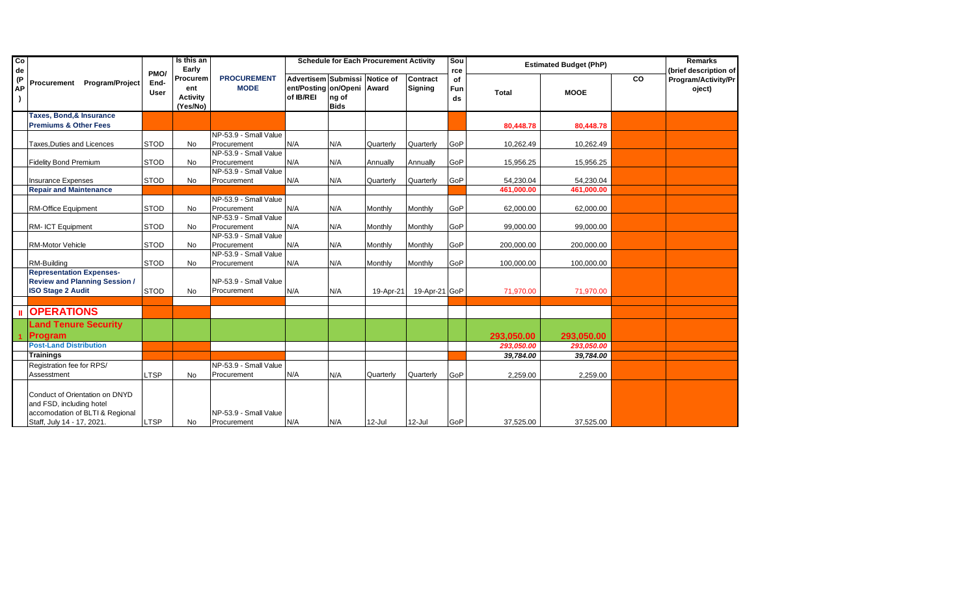| $\overline{c}$<br>de |                                                                                                                             | PMO/                | Is this an<br>Early                            |                                      |                                                                          |                      | <b>Schedule for Each Procurement Activity</b> |                            | Sou<br>rce      |              | <b>Estimated Budget (PhP)</b> |    | <b>Remarks</b><br>(brief description of |
|----------------------|-----------------------------------------------------------------------------------------------------------------------------|---------------------|------------------------------------------------|--------------------------------------|--------------------------------------------------------------------------|----------------------|-----------------------------------------------|----------------------------|-----------------|--------------|-------------------------------|----|-----------------------------------------|
| (P<br>АP             | <b>Program/Project</b><br>Procurement                                                                                       | End-<br><b>User</b> | Procurem<br>ent<br><b>Activity</b><br>(Yes/No) | <b>PROCUREMENT</b><br><b>MODE</b>    | Advertisem Submissi Notice of<br>ent/Posting on/Openi Award<br>of IB/REI | ng of<br><b>Bids</b> |                                               | <b>Contract</b><br>Signing | of<br>Fun<br>ds | <b>Total</b> | <b>MOOE</b>                   | CO | Program/Activity/Pr<br>oject)           |
|                      | <b>Taxes, Bond, &amp; Insurance</b>                                                                                         |                     |                                                |                                      |                                                                          |                      |                                               |                            |                 |              |                               |    |                                         |
|                      | <b>Premiums &amp; Other Fees</b>                                                                                            |                     |                                                |                                      |                                                                          |                      |                                               |                            |                 | 80,448.78    | 80,448.78                     |    |                                         |
|                      |                                                                                                                             |                     |                                                | NP-53.9 - Small Value                |                                                                          |                      |                                               |                            |                 |              |                               |    |                                         |
|                      | Taxes, Duties and Licences                                                                                                  | <b>STOD</b>         | <b>No</b>                                      | Procurement                          | N/A                                                                      | N/A                  | Quarterly                                     | Quarterly                  | GoP             | 10,262.49    | 10.262.49                     |    |                                         |
|                      |                                                                                                                             |                     |                                                | NP-53.9 - Small Value                |                                                                          |                      |                                               |                            |                 |              |                               |    |                                         |
|                      | <b>Fidelity Bond Premium</b>                                                                                                | <b>STOD</b>         | No                                             | Procurement                          | N/A                                                                      | N/A                  | Annually                                      | Annually                   | GoP             | 15,956.25    | 15,956.25                     |    |                                         |
|                      |                                                                                                                             |                     |                                                | NP-53.9 - Small Value                |                                                                          |                      |                                               |                            |                 |              |                               |    |                                         |
|                      | <b>Insurance Expenses</b>                                                                                                   | <b>STOD</b>         | No                                             | Procurement                          | N/A                                                                      | N/A                  | Quarterly                                     | Quarterly                  | GoP             | 54,230.04    | 54,230.04                     |    |                                         |
|                      | <b>Repair and Maintenance</b>                                                                                               |                     |                                                |                                      |                                                                          |                      |                                               |                            |                 | 461,000.00   | 461,000.00                    |    |                                         |
|                      |                                                                                                                             |                     |                                                | NP-53.9 - Small Value                |                                                                          |                      |                                               |                            |                 |              |                               |    |                                         |
|                      | <b>RM-Office Equipment</b>                                                                                                  | <b>STOD</b>         | No                                             | Procurement                          | N/A                                                                      | N/A                  | Monthly                                       | Monthly                    | GoP             | 62,000.00    | 62,000.00                     |    |                                         |
|                      |                                                                                                                             |                     |                                                | NP-53.9 - Small Value                |                                                                          |                      |                                               |                            |                 |              |                               |    |                                         |
|                      | RM- ICT Equipment                                                                                                           | <b>STOD</b>         | No                                             | Procurement                          | N/A                                                                      | N/A                  | Monthly                                       | Monthly                    | GoP             | 99,000.00    | 99,000.00                     |    |                                         |
|                      |                                                                                                                             |                     |                                                | NP-53.9 - Small Value                |                                                                          |                      |                                               |                            |                 |              |                               |    |                                         |
|                      | <b>RM-Motor Vehicle</b>                                                                                                     | <b>STOD</b>         | <b>No</b>                                      | Procurement                          | N/A                                                                      | N/A                  | Monthly                                       | Monthly                    | GoP             | 200,000.00   | 200,000.00                    |    |                                         |
|                      |                                                                                                                             |                     |                                                | NP-53.9 - Small Value                |                                                                          |                      |                                               |                            |                 |              |                               |    |                                         |
|                      | RM-Building                                                                                                                 | <b>STOD</b>         | No                                             | Procurement                          | N/A                                                                      | N/A                  | Monthly                                       | Monthly                    | GoP             | 100,000.00   | 100,000.00                    |    |                                         |
|                      | <b>Representation Expenses-</b><br><b>Review and Planning Session /</b><br><b>ISO Stage 2 Audit</b>                         | <b>STOD</b>         | <b>No</b>                                      | NP-53.9 - Small Value<br>Procurement | N/A                                                                      | N/A                  | 19-Apr-21                                     | 19-Apr-21 GoP              |                 | 71.970.00    | 71.970.00                     |    |                                         |
|                      |                                                                                                                             |                     |                                                |                                      |                                                                          |                      |                                               |                            |                 |              |                               |    |                                         |
|                      | <b>OPERATIONS</b>                                                                                                           |                     |                                                |                                      |                                                                          |                      |                                               |                            |                 |              |                               |    |                                         |
|                      | <b>Land Tenure Security</b>                                                                                                 |                     |                                                |                                      |                                                                          |                      |                                               |                            |                 |              |                               |    |                                         |
|                      | <b>Program</b>                                                                                                              |                     |                                                |                                      |                                                                          |                      |                                               |                            |                 | 293,050.00   | 293.050.00                    |    |                                         |
|                      | <b>Post-Land Distribution</b>                                                                                               |                     |                                                |                                      |                                                                          |                      |                                               |                            |                 | 293.050.00   | 293.050.00                    |    |                                         |
|                      | <b>Trainings</b>                                                                                                            |                     |                                                |                                      |                                                                          |                      |                                               |                            |                 | 39,784.00    | 39,784.00                     |    |                                         |
|                      | Registration fee for RPS/                                                                                                   |                     |                                                | NP-53.9 - Small Value                |                                                                          |                      |                                               |                            |                 |              |                               |    |                                         |
|                      | Assesstment                                                                                                                 | _TSP                | No                                             | Procurement                          | N/A                                                                      | N/A                  | Quarterly                                     | Quarterly                  | GoP             | 2,259.00     | 2,259.00                      |    |                                         |
|                      | Conduct of Orientation on DNYD<br>and FSD, including hotel<br>accomodation of BLTI & Regional<br>Staff, July 14 - 17, 2021. | <b>LTSP</b>         | No                                             | NP-53.9 - Small Value<br>Procurement | N/A                                                                      | N/A                  | 12-Jul                                        | $12$ -Jul                  | GoP             | 37,525.00    | 37,525.00                     |    |                                         |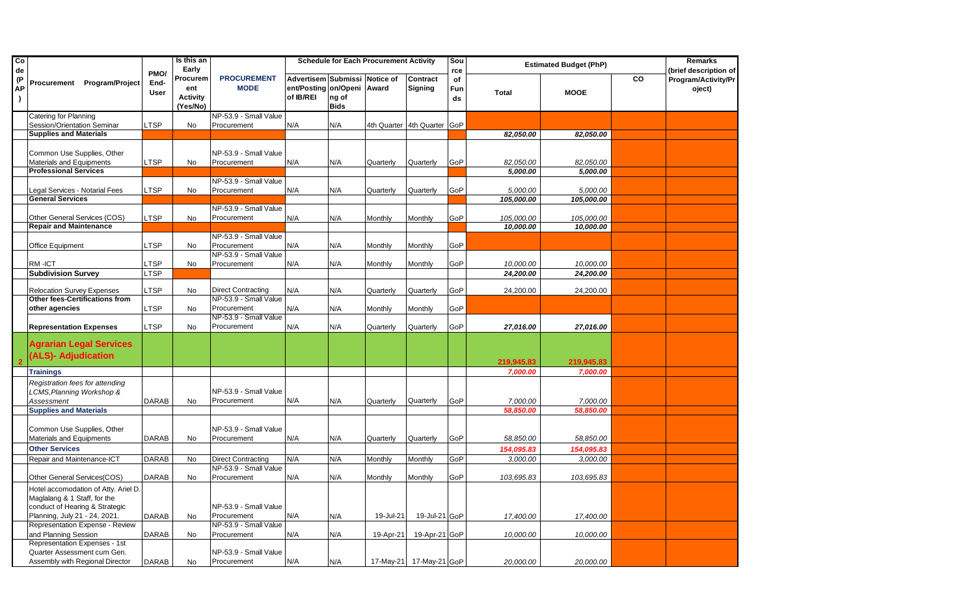| Co<br>de              |                                                                                                                                         |                             | Is this an<br>Early                            |                                      |                                                                          |                      | <b>Schedule for Each Procurement Activity</b> |                         | Sou<br>rce      |                       | <b>Estimated Budget (PhP)</b> |    | Remarks<br>(brief description of |
|-----------------------|-----------------------------------------------------------------------------------------------------------------------------------------|-----------------------------|------------------------------------------------|--------------------------------------|--------------------------------------------------------------------------|----------------------|-----------------------------------------------|-------------------------|-----------------|-----------------------|-------------------------------|----|----------------------------------|
| (P<br>АP<br>$\lambda$ | Procurement Program/Project                                                                                                             | PMO/<br>End-<br><b>User</b> | Procurem<br>ent<br><b>Activity</b><br>(Yes/No) | <b>PROCUREMENT</b><br><b>MODE</b>    | Advertisem Submissi Notice of<br>ent/Posting on/Openi Award<br>of IB/REI | ng of<br><b>Bids</b> |                                               | Contract<br>Signing     | of<br>Fun<br>ds | Total                 | <b>MOOE</b>                   | CO | Program/Activity/Pr<br>oject)    |
|                       | Catering for Planning                                                                                                                   |                             |                                                | NP-53.9 - Small Value                |                                                                          |                      |                                               |                         |                 |                       |                               |    |                                  |
|                       | Session/Orientation Seminar                                                                                                             | <b>LTSP</b>                 | No                                             | Procurement                          | N/A                                                                      | N/A                  | 4th Quarter                                   | 4th Quarter             | GoP             |                       |                               |    |                                  |
|                       | <b>Supplies and Materials</b>                                                                                                           |                             |                                                |                                      |                                                                          |                      |                                               |                         |                 | 82,050.00             | 82,050.00                     |    |                                  |
|                       | Common Use Supplies, Other<br>Materials and Equipments<br><b>Professional Services</b>                                                  | <b>LTSP</b>                 | No                                             | NP-53.9 - Small Value<br>Procurement | N/A                                                                      | N/A                  | Quarterly                                     | Quarterly               | GoP             | 82,050.00<br>5,000.00 | 82,050.00<br>5,000.00         |    |                                  |
|                       |                                                                                                                                         |                             |                                                | NP-53.9 - Small Value                |                                                                          |                      |                                               |                         |                 |                       |                               |    |                                  |
|                       | Legal Services - Notarial Fees                                                                                                          | <b>LTSP</b>                 | No                                             | Procurement                          | N/A                                                                      | N/A                  | Quarterly                                     | Quarterly               | GoP             | 5,000.00              | 5,000.00                      |    |                                  |
|                       | <b>General Services</b>                                                                                                                 |                             |                                                |                                      |                                                                          |                      |                                               |                         |                 | 105,000.00            | 105,000.00                    |    |                                  |
|                       |                                                                                                                                         |                             |                                                | NP-53.9 - Small Value                |                                                                          |                      |                                               |                         |                 |                       |                               |    |                                  |
|                       | Other General Services (COS)                                                                                                            | <b>LTSP</b>                 | No                                             | Procurement                          | N/A                                                                      | N/A                  | Monthly                                       | Monthly                 | GoP             | 105,000.00            | 105,000.00                    |    |                                  |
|                       | <b>Repair and Maintenance</b>                                                                                                           |                             |                                                |                                      |                                                                          |                      |                                               |                         |                 | 10,000.00             | 10,000.00                     |    |                                  |
|                       | <b>Office Equipment</b>                                                                                                                 | <b>LTSP</b>                 | No                                             | NP-53.9 - Small Value<br>Procurement | N/A                                                                      | N/A                  | Monthly                                       | Monthly                 | GoP             |                       |                               |    |                                  |
|                       |                                                                                                                                         |                             |                                                | NP-53.9 - Small Value                |                                                                          |                      |                                               |                         |                 |                       |                               |    |                                  |
|                       | RM-ICT                                                                                                                                  | $_{\sf LTSP}$               | No                                             | Procurement                          | N/A                                                                      | N/A                  | Monthly                                       | Monthly                 | GoP             | 10,000.00             | 10,000.00                     |    |                                  |
|                       | <b>Subdivision Survey</b>                                                                                                               | <b>LTSP</b>                 |                                                |                                      |                                                                          |                      |                                               |                         |                 | 24,200.00             | 24,200.00                     |    |                                  |
|                       | <b>Relocation Survey Expenses</b>                                                                                                       | <b>LTSP</b>                 | No                                             | <b>Direct Contracting</b>            | N/A                                                                      | N/A                  | Quarterly                                     | Quarterly               | GoP             | 24,200.00             | 24,200.00                     |    |                                  |
|                       | Other fees-Certifications from                                                                                                          |                             |                                                | NP-53.9 - Small Value                |                                                                          |                      |                                               |                         |                 |                       |                               |    |                                  |
|                       | other agencies                                                                                                                          | <b>LTSP</b>                 | No                                             | Procurement<br>NP-53.9 - Small Value | N/A                                                                      | N/A                  | Monthly                                       | Monthly                 | GoP             |                       |                               |    |                                  |
|                       | <b>Representation Expenses</b>                                                                                                          | <b>LTSP</b>                 | No                                             | Procurement                          | N/A                                                                      | N/A                  | Quarterly                                     | Quarterly               | GoP             | 27,016.00             | 27,016.00                     |    |                                  |
|                       | <b>Agrarian Legal Services</b><br>(ALS)- Adjudication                                                                                   |                             |                                                |                                      |                                                                          |                      |                                               |                         |                 | 219,945.83            | 219,945.83                    |    |                                  |
|                       | <b>Trainings</b>                                                                                                                        |                             |                                                |                                      |                                                                          |                      |                                               |                         |                 | 7,000.00              | 7,000.00                      |    |                                  |
|                       | Registration fees for attending<br>LCMS, Planning Workshop &                                                                            |                             |                                                | NP-53.9 - Small Value                |                                                                          |                      |                                               |                         |                 |                       |                               |    |                                  |
|                       | Assessment                                                                                                                              | <b>DARAB</b>                | No                                             | Procurement                          | N/A                                                                      | N/A                  | Quarterly                                     | Quarterly               | GoP             | 7,000.00              | 7,000.00                      |    |                                  |
|                       | <b>Supplies and Materials</b>                                                                                                           |                             |                                                |                                      |                                                                          |                      |                                               |                         |                 | 58,850.00             | 58,850.00                     |    |                                  |
|                       | Common Use Supplies, Other<br>Materials and Equipments                                                                                  | <b>DARAB</b>                | No                                             | NP-53.9 - Small Value<br>Procurement | N/A                                                                      | N/A                  | Quarterly                                     | Quarterly               | GoP             | 58,850.00             | 58,850.00                     |    |                                  |
|                       | <b>Other Services</b>                                                                                                                   |                             |                                                |                                      |                                                                          |                      |                                               |                         |                 | 154,095.83            | 154,095.83                    |    |                                  |
|                       | Repair and Maintenance-ICT                                                                                                              | <b>DARAB</b>                | No                                             | <b>Direct Contracting</b>            | N/A                                                                      | N/A                  | Monthly                                       | Monthly                 | GoP             | 3,000.00              | 3,000.00                      |    |                                  |
|                       | Other General Services(COS)                                                                                                             | <b>DARAB</b>                | No                                             | NP-53.9 - Small Value<br>Procurement | N/A                                                                      | N/A                  | Monthly                                       | Monthly                 | GoP             | 103,695.83            | 103,695.83                    |    |                                  |
|                       | Hotel accomodation of Atty. Ariel D.<br>Maglalang & 1 Staff, for the<br>conduct of Hearing & Strategic<br>Planning, July 21 - 24, 2021. | <b>DARAB</b>                | No                                             | NP-53.9 - Small Value<br>Procurement | N/A                                                                      | N/A                  | 19-Jul-21                                     | 19-Jul-21 GoP           |                 | 17,400.00             | 17,400.00                     |    |                                  |
|                       | Representation Expense - Review<br>and Planning Session                                                                                 | <b>DARAB</b>                | No                                             | NP-53.9 - Small Value<br>Procurement | N/A                                                                      | N/A                  | 19-Apr-21                                     | 19-Apr-21 GoP           |                 | 10,000.00             | 10,000.00                     |    |                                  |
|                       | Representation Expenses - 1st<br>Quarter Assessment cum Gen.                                                                            |                             |                                                | NP-53.9 - Small Value                |                                                                          |                      |                                               |                         |                 |                       |                               |    |                                  |
|                       | Assembly with Regional Director                                                                                                         | <b>DARAB</b>                | No                                             | Procurement                          | N/A                                                                      | N/A                  |                                               | 17-May-21 17-May-21 GoP |                 | 20,000.00             | 20,000.00                     |    |                                  |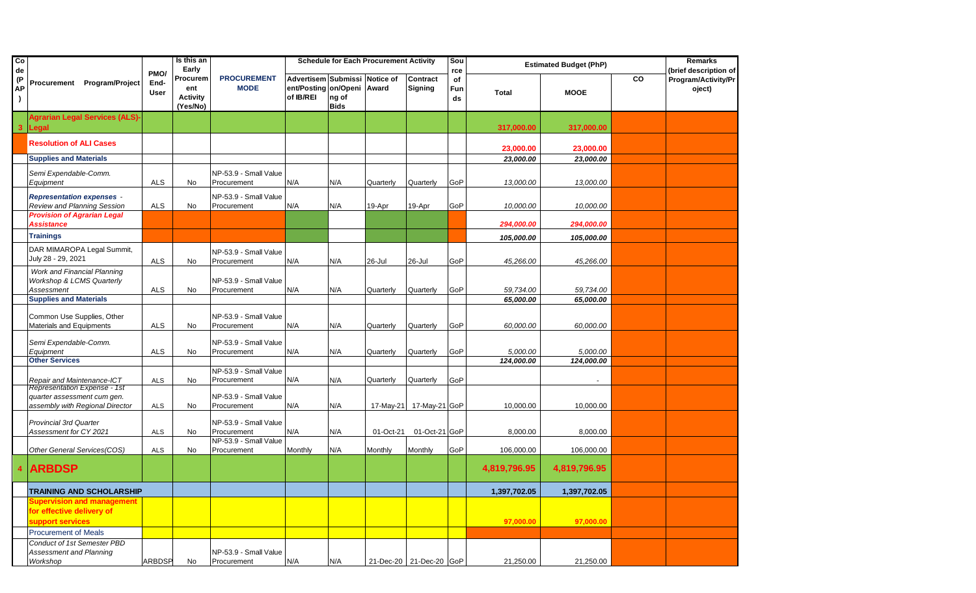| Co<br>de              |                                                                                                         | PMO/                | Is this an<br>Early                            |                                      |                                                                          |                      | <b>Schedule for Each Procurement Activity</b> |                            | Sou<br>rce      |                        | <b>Estimated Budget (PhP)</b> |    | <b>Remarks</b><br>(brief description of |
|-----------------------|---------------------------------------------------------------------------------------------------------|---------------------|------------------------------------------------|--------------------------------------|--------------------------------------------------------------------------|----------------------|-----------------------------------------------|----------------------------|-----------------|------------------------|-------------------------------|----|-----------------------------------------|
| (P<br>AР<br>$\lambda$ | Program/Project<br>Procurement                                                                          | End-<br><b>User</b> | Procurem<br>ent<br><b>Activity</b><br>(Yes/No) | <b>PROCUREMENT</b><br><b>MODE</b>    | Advertisem Submissi Notice of<br>ent/Posting on/Openi Award<br>of IB/REI | ng of<br><b>Bids</b> |                                               | Contract<br><b>Signing</b> | of<br>Fun<br>ds | <b>Total</b>           | <b>MOOE</b>                   | CO | Program/Activity/Pr<br>oject)           |
| $\mathbf{3}$          | <b>Agrarian Legal Services (ALS)-</b><br>Legal                                                          |                     |                                                |                                      |                                                                          |                      |                                               |                            |                 | 317,000.00             | 317,000.00                    |    |                                         |
|                       | <b>Resolution of ALI Cases</b>                                                                          |                     |                                                |                                      |                                                                          |                      |                                               |                            |                 | 23,000.00              | 23,000.00                     |    |                                         |
|                       | <b>Supplies and Materials</b>                                                                           |                     |                                                |                                      |                                                                          |                      |                                               |                            |                 | 23,000.00              | 23,000.00                     |    |                                         |
|                       | Semi Expendable-Comm.<br>Equipment                                                                      | ALS                 | No                                             | NP-53.9 - Small Value<br>Procurement | N/A                                                                      | N/A                  | Quarterly                                     | Quarterly                  | GoP             | 13,000.00              | 13,000.00                     |    |                                         |
|                       | <b>Representation expenses -</b><br><b>Review and Planning Session</b>                                  | ALS                 | No                                             | NP-53.9 - Small Value<br>Procurement | N/A                                                                      | N/A                  | 19-Apr                                        | 19-Apr                     | GoP             | 10,000.00              | 10,000.00                     |    |                                         |
|                       | <b>Provision of Agrarian Legal</b><br>Assistance                                                        |                     |                                                |                                      |                                                                          |                      |                                               |                            |                 | 294,000.00             | 294,000.00                    |    |                                         |
|                       | <b>Trainings</b>                                                                                        |                     |                                                |                                      |                                                                          |                      |                                               |                            |                 | 105,000.00             | 105,000.00                    |    |                                         |
|                       | DAR MIMAROPA Legal Summit,<br>July 28 - 29, 2021                                                        | <b>ALS</b>          | No                                             | NP-53.9 - Small Value<br>Procurement | N/A                                                                      | N/A                  | 26-Jul                                        | 26-Jul                     | GoP             | 45,266.00              | 45,266.00                     |    |                                         |
|                       | Work and Financial Planning<br>Workshop & LCMS Quarterly<br>Assessment<br><b>Supplies and Materials</b> | <b>ALS</b>          | No                                             | NP-53.9 - Small Value<br>Procurement | N/A                                                                      | N/A                  | Quarterly                                     | Quarterly                  | GoP             | 59,734.00<br>65,000.00 | 59,734.00<br>65,000.00        |    |                                         |
|                       |                                                                                                         |                     |                                                |                                      |                                                                          |                      |                                               |                            |                 |                        |                               |    |                                         |
|                       | Common Use Supplies, Other<br>Materials and Equipments                                                  | <b>ALS</b>          | No                                             | NP-53.9 - Small Value<br>Procurement | N/A                                                                      | N/A                  | Quarterly                                     | Quarterly                  | GoP             | 60,000.00              | 60,000.00                     |    |                                         |
|                       | Semi Expendable-Comm.<br>Equipment                                                                      | <b>ALS</b>          | No                                             | NP-53.9 - Small Value<br>Procurement | N/A                                                                      | N/A                  | Quarterly                                     | Quarterly                  | GoP             | 5,000.00               | 5,000.00                      |    |                                         |
|                       | <b>Other Services</b>                                                                                   |                     |                                                |                                      |                                                                          |                      |                                               |                            |                 | 124,000.00             | 124,000.00                    |    |                                         |
|                       | Repair and Maintenance-ICT                                                                              | ALS                 | No                                             | NP-53.9 - Small Value<br>Procurement | N/A                                                                      | N/A                  | Quarterly                                     | Quarterly                  | GoP             |                        |                               |    |                                         |
|                       | Representation Expense - 1st<br>quarter assessment cum gen.<br>assembly with Regional Director          | <b>ALS</b>          | No                                             | NP-53.9 - Small Value<br>Procurement | N/A                                                                      | N/A                  | 17-May-21                                     | 17-May-21 GoP              |                 | 10,000.00              | 10,000.00                     |    |                                         |
|                       | <b>Provincial 3rd Quarter</b><br>Assessment for CY 2021                                                 | ALS                 | No                                             | NP-53.9 - Small Value<br>Procurement | N/A                                                                      | N/A                  | 01-Oct-21                                     | 01-Oct-21 GoP              |                 | 8,000.00               | 8.000.00                      |    |                                         |
|                       | Other General Services(COS)                                                                             | ALS                 | No                                             | NP-53.9 - Small Value<br>Procurement | Monthly                                                                  | N/A                  | Monthly                                       | Monthly                    | GoP             | 106,000.00             | 106,000.00                    |    |                                         |
| 4                     | <b>ARBDSP</b>                                                                                           |                     |                                                |                                      |                                                                          |                      |                                               |                            |                 | 4,819,796.95           | 4,819,796.95                  |    |                                         |
|                       | TRAINING AND SCHOLARSHIP                                                                                |                     |                                                |                                      |                                                                          |                      |                                               |                            |                 | 1,397,702.05           | 1,397,702.05                  |    |                                         |
|                       | <b>Supervision and management</b><br>for effective delivery of<br>support services                      |                     |                                                |                                      |                                                                          |                      |                                               |                            |                 | 97,000.00              | 97,000.00                     |    |                                         |
|                       | <b>Procurement of Meals</b>                                                                             |                     |                                                |                                      |                                                                          |                      |                                               |                            |                 |                        |                               |    |                                         |
|                       | Conduct of 1st Semester PBD                                                                             |                     |                                                |                                      |                                                                          |                      |                                               |                            |                 |                        |                               |    |                                         |
|                       | <b>Assessment and Planning</b><br>Workshop                                                              | <b>ARBDSP</b>       | No                                             | NP-53.9 - Small Value<br>Procurement | N/A                                                                      | N/A                  |                                               | 21-Dec-20 21-Dec-20 GoP    |                 | 21,250.00              | 21,250.00                     |    |                                         |
|                       |                                                                                                         |                     |                                                |                                      |                                                                          |                      |                                               |                            |                 |                        |                               |    |                                         |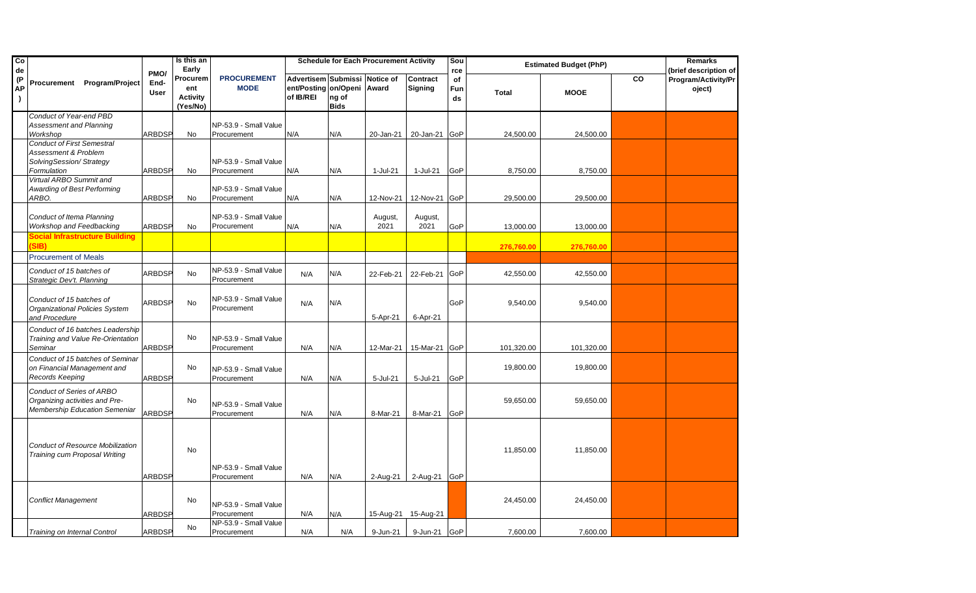| Co<br>de               |                                                                                                     |                             | Is this an<br>Early                            |                                                     |                                                                          |                      | <b>Schedule for Each Procurement Activity</b> |                       | Sou<br>rce      |              | <b>Estimated Budget (PhP)</b> |    | <b>Remarks</b><br>(brief description of |
|------------------------|-----------------------------------------------------------------------------------------------------|-----------------------------|------------------------------------------------|-----------------------------------------------------|--------------------------------------------------------------------------|----------------------|-----------------------------------------------|-----------------------|-----------------|--------------|-------------------------------|----|-----------------------------------------|
| (P)<br>АP<br>$\lambda$ | Procurement<br><b>Program/Project</b>                                                               | PMO/<br>End-<br><b>User</b> | Procurem<br>ent<br><b>Activity</b><br>(Yes/No) | <b>PROCUREMENT</b><br><b>MODE</b>                   | Advertisem Submissi Notice of<br>ent/Posting on/Openi Award<br>of IB/REI | ng of<br><b>Bids</b> |                                               | Contract<br>Signing   | of<br>Fun<br>ds | <b>Total</b> | <b>MOOE</b>                   | CO | Program/Activity/Pr<br>oject)           |
|                        | Conduct of Year-end PBD<br><b>Assessment and Planning</b><br>Workshop                               | ARBDSP                      | No                                             | NP-53.9 - Small Value<br>Procurement                | N/A                                                                      | N/A                  | 20-Jan-21                                     | 20-Jan-21             | <b>GoP</b>      | 24,500.00    | 24,500.00                     |    |                                         |
|                        | <b>Conduct of First Semestral</b><br>Assessment & Problem<br>SolvingSession/Strategy<br>Formulation | ARBDSP                      | No                                             | NP-53.9 - Small Value<br>Procurement                | N/A                                                                      | N/A                  | 1-Jul-21                                      | 1-Jul-21              | GoP             | 8,750.00     | 8,750.00                      |    |                                         |
|                        | Virtual ARBO Summit and<br>Awarding of Best Performing<br>ARBO.                                     | ARBDSP                      | No                                             | NP-53.9 - Small Value<br>Procurement                | N/A                                                                      | N/A                  | 12-Nov-21                                     | 12-Nov-21             | GoP             | 29,500.00    | 29,500.00                     |    |                                         |
|                        | <b>Conduct of Itema Planning</b><br>Workshop and Feedbacking                                        | ARBDSP                      | <b>No</b>                                      | NP-53.9 - Small Value<br>Procurement                | N/A                                                                      | N/A                  | August,<br>2021                               | August,<br>2021       | GoP             | 13,000.00    | 13,000.00                     |    |                                         |
|                        | Social Infrastructure Building<br>SIB)<br><b>Procurement of Meals</b>                               |                             |                                                |                                                     |                                                                          |                      |                                               |                       |                 | 276,760.00   | 276,760.00                    |    |                                         |
|                        | Conduct of 15 batches of<br>Strategic Dev't. Planning                                               | ARBDSP                      | <b>No</b>                                      | NP-53.9 - Small Value<br>Procurement                | N/A                                                                      | N/A                  | 22-Feb-21                                     | 22-Feb-21             | GoP             | 42,550.00    | 42,550.00                     |    |                                         |
|                        | Conduct of 15 batches of<br>Organizational Policies System<br>and Procedure                         | ARBDSP                      | No                                             | NP-53.9 - Small Value<br>Procurement                | N/A                                                                      | N/A                  | 5-Apr-21                                      | 6-Apr-21              | GoP             | 9,540.00     | 9,540.00                      |    |                                         |
|                        | Conduct of 16 batches Leadership<br>Training and Value Re-Orientation<br>Seminar                    | <b>ARBDSP</b>               | No                                             | NP-53.9 - Small Value<br>Procurement                | N/A                                                                      | N/A                  | 12-Mar-21                                     | 15-Mar-21 GoP         |                 | 101,320.00   | 101,320.00                    |    |                                         |
|                        | Conduct of 15 batches of Seminar<br>on Financial Management and<br>Records Keeping                  | ARBDSP                      | No                                             | NP-53.9 - Small Value<br>Procurement                | N/A                                                                      | N/A                  | 5-Jul-21                                      | 5-Jul-21              | GoP             | 19,800.00    | 19,800.00                     |    |                                         |
|                        | <b>Conduct of Series of ARBO</b><br>Organizing activities and Pre-<br>Membership Education Semeniar | ARBDSP                      | No                                             | NP-53.9 - Small Value<br>Procurement                | N/A                                                                      | N/A                  | 8-Mar-21                                      | 8-Mar-21              | GoP             | 59,650.00    | 59,650.00                     |    |                                         |
|                        | <b>Conduct of Resource Mobilization</b><br>Training cum Proposal Writing                            |                             | No                                             | NP-53.9 - Small Value                               |                                                                          |                      |                                               |                       |                 | 11,850.00    | 11,850.00                     |    |                                         |
|                        | <b>Conflict Management</b>                                                                          | ARBDSP<br><b>ARBDSP</b>     | No                                             | Procurement<br>NP-53.9 - Small Value<br>Procurement | N/A<br>N/A                                                               | N/A<br>N/A           | 2-Aug-21<br>15-Aug-21                         | 2-Aug-21<br>15-Aug-21 | GoP             | 24,450.00    | 24,450.00                     |    |                                         |
|                        | Training on Internal Control                                                                        | ARBDSP                      | No                                             | NP-53.9 - Small Value<br>Procurement                | N/A                                                                      | N/A                  | 9-Jun-21                                      | 9-Jun-21 GoP          |                 | 7,600.00     | 7,600.00                      |    |                                         |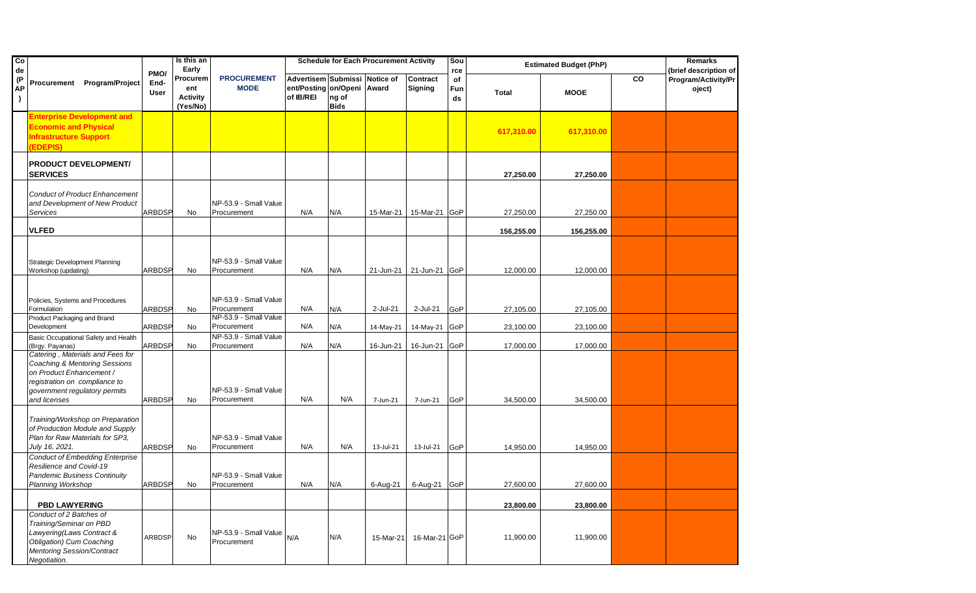| $\overline{c}$<br>de  |                                                                                                                                                                                            |                             | Is this an<br>Early                            |                                                               |                                                                          |                      | <b>Schedule for Each Procurement Activity</b> |                            | Sou<br>rce      |              | <b>Estimated Budget (PhP)</b> |    | Remarks<br>(brief description of |
|-----------------------|--------------------------------------------------------------------------------------------------------------------------------------------------------------------------------------------|-----------------------------|------------------------------------------------|---------------------------------------------------------------|--------------------------------------------------------------------------|----------------------|-----------------------------------------------|----------------------------|-----------------|--------------|-------------------------------|----|----------------------------------|
| (P<br>AР<br>$\lambda$ | Procurement Program/Project                                                                                                                                                                | PMO/<br>End-<br><b>User</b> | Procurem<br>ent<br><b>Activity</b><br>(Yes/No) | <b>PROCUREMENT</b><br><b>MODE</b>                             | Advertisem Submissi Notice of<br>ent/Posting on/Openi Award<br>of IB/REI | ng of<br><b>Bids</b> |                                               | Contract<br><b>Signing</b> | of<br>Fun<br>ds | <b>Total</b> | <b>MOOE</b>                   | CO | Program/Activity/Pr<br>oject)    |
|                       | <b>Enterprise Development and</b><br><b>Economic and Physical</b><br><b>Infrastructure Support</b><br>(EDEPIS)                                                                             |                             |                                                |                                                               |                                                                          |                      |                                               |                            |                 | 617,310.00   | 617,310.00                    |    |                                  |
|                       | <b>PRODUCT DEVELOPMENT/</b><br><b>SERVICES</b>                                                                                                                                             |                             |                                                |                                                               |                                                                          |                      |                                               |                            |                 | 27,250.00    | 27,250.00                     |    |                                  |
|                       | <b>Conduct of Product Enhancement</b><br>and Development of New Product<br>Services                                                                                                        | <b>ARBDSP</b>               | No                                             | NP-53.9 - Small Value<br>Procurement                          | N/A                                                                      | N/A                  | 15-Mar-21                                     | 15-Mar-21                  | GoP             | 27,250.00    | 27,250.00                     |    |                                  |
|                       | <b>VLFED</b>                                                                                                                                                                               |                             |                                                |                                                               |                                                                          |                      |                                               |                            |                 | 156,255.00   | 156,255.00                    |    |                                  |
|                       | <b>Strategic Development Planning</b><br>Workshop (updating)                                                                                                                               | ARBDSP                      | No                                             | NP-53.9 - Small Value<br>Procurement                          | N/A                                                                      | N/A                  | 21-Jun-21                                     | 21-Jun-21                  | GoP             | 12,000.00    | 12,000.00                     |    |                                  |
|                       | Policies, Systems and Procedures<br>Formulation<br>Product Packaging and Brand                                                                                                             | <b>ARBDSP</b>               | No                                             | NP-53.9 - Small Value<br>Procurement<br>NP-53.9 - Small Value | N/A                                                                      | N/A                  | 2-Jul-21                                      | 2-Jul-21                   | GoP             | 27,105.00    | 27,105.00                     |    |                                  |
|                       | Development                                                                                                                                                                                | <b>ARBDSP</b>               | No                                             | Procurement                                                   | N/A                                                                      | N/A                  | 14-May-21                                     | 14-May-21                  | GoP             | 23,100.00    | 23,100.00                     |    |                                  |
|                       | Basic Occupational Safety and Health<br>(Brgy. Payanas)                                                                                                                                    | ARBDSP                      | No                                             | NP-53.9 - Small Value<br>Procurement                          | N/A                                                                      | N/A                  | 16-Jun-21                                     | 16-Jun-21                  | GoP             | 17,000.00    | 17,000.00                     |    |                                  |
|                       | Catering, Materials and Fees for<br><b>Coaching &amp; Mentoring Sessions</b><br>on Product Enhancement /<br>registration on compliance to<br>government regulatory permits<br>and licenses | <b>ARBDSP</b>               | No                                             | NP-53.9 - Small Value<br>Procurement                          | N/A                                                                      | N/A                  | 7-Jun-21                                      | 7-Jun-21                   | GoP             | 34,500.00    | 34,500.00                     |    |                                  |
|                       | Training/Workshop on Preparation<br>of Production Module and Supply<br>Plan for Raw Materials for SP3,<br>July 16, 2021.                                                                   | <b>ARBDSP</b>               | No                                             | NP-53.9 - Small Value<br>Procurement                          | N/A                                                                      | N/A                  | 13-Jul-21                                     | 13-Jul-21                  | GoP             | 14,950.00    | 14,950.00                     |    |                                  |
|                       | <b>Conduct of Embedding Enterprise</b><br>Resilience and Covid-19<br><b>Pandemic Business Continuity</b><br>Planning Workshop                                                              | <b>ARBDSP</b>               | No                                             | NP-53.9 - Small Value<br>Procurement                          | N/A                                                                      | N/A                  | 6-Aug-21                                      | 6-Aug-21 GoP               |                 | 27,600.00    | 27,600.00                     |    |                                  |
|                       | <b>PBD LAWYERING</b>                                                                                                                                                                       |                             |                                                |                                                               |                                                                          |                      |                                               |                            |                 | 23,800.00    | 23,800.00                     |    |                                  |
|                       | Conduct of 2 Batches of<br>Training/Seminar on PBD<br>Lawyering(Laws Contract &<br>Obligation) Cum Coaching<br><b>Mentoring Session/Contract</b><br>Negotiation.                           | <b>ARBDSP</b>               | No                                             | $NP-53.9$ - Small Value $_{\text{N/A}}$<br>Procurement        |                                                                          | N/A                  | 15-Mar-21                                     | 16-Mar-21 GoP              |                 | 11,900.00    | 11,900.00                     |    |                                  |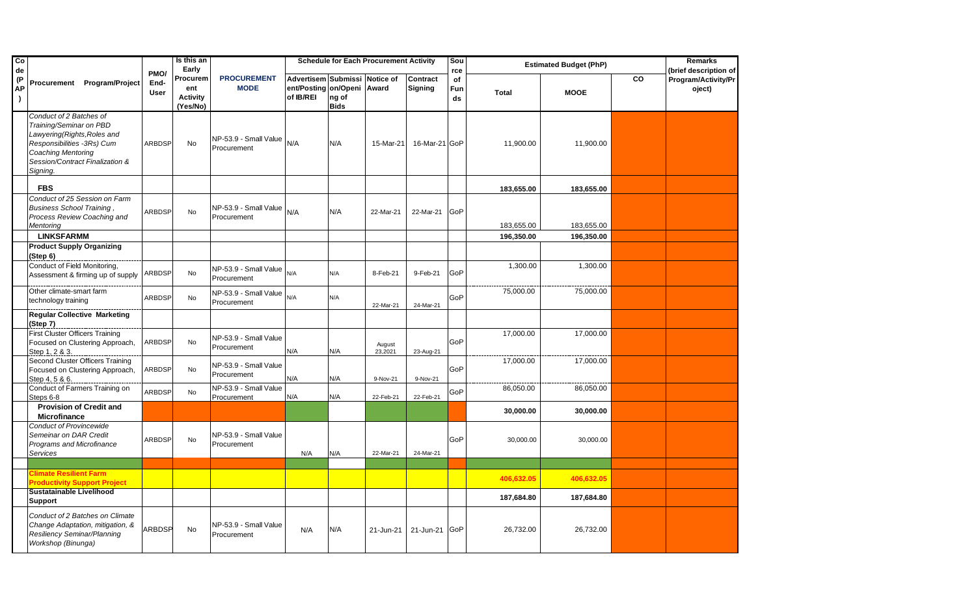| Co<br>de               |                                                                                                                                                                                              |                             | Is this an<br>Early                            |                                            |                                                                          |                      | <b>Schedule for Each Procurement Activity</b> |                                   | Sou<br>rce      |              | <b>Estimated Budget (PhP)</b> |    | Remarks<br>(brief description of |
|------------------------|----------------------------------------------------------------------------------------------------------------------------------------------------------------------------------------------|-----------------------------|------------------------------------------------|--------------------------------------------|--------------------------------------------------------------------------|----------------------|-----------------------------------------------|-----------------------------------|-----------------|--------------|-------------------------------|----|----------------------------------|
| (P)<br>AP<br>$\lambda$ | Procurement Program/Project                                                                                                                                                                  | PMO/<br>End-<br><b>User</b> | Procurem<br>ent<br><b>Activity</b><br>(Yes/No) | <b>PROCUREMENT</b><br><b>MODE</b>          | Advertisem Submissi Notice of<br>ent/Posting on/Openi Award<br>of IB/REI | ng of<br><b>Bids</b> |                                               | <b>Contract</b><br><b>Signing</b> | of<br>Fun<br>ds | <b>Total</b> | <b>MOOE</b>                   | CO | Program/Activity/Pr<br>oject)    |
|                        | Conduct of 2 Batches of<br>Training/Seminar on PBD<br>Lawyering (Rights, Roles and<br>Responsibilities -3Rs) Cum<br><b>Coaching Mentoring</b><br>Session/Contract Finalization &<br>Signing. | <b>ARBDSP</b>               | No                                             | NP-53.9 - Small Value $N/A$<br>Procurement |                                                                          | N/A                  | 15-Mar-21                                     | 16-Mar-21 GoP                     |                 | 11,900.00    | 11,900.00                     |    |                                  |
|                        | <b>FBS</b>                                                                                                                                                                                   |                             |                                                |                                            |                                                                          |                      |                                               |                                   |                 | 183,655.00   | 183,655.00                    |    |                                  |
|                        | Conduct of 25 Session on Farm<br><b>Business School Training</b><br>Process Review Coaching and<br>Mentoring                                                                                 | <b>ARBDSP</b>               | No                                             | NP-53.9 - Small Value<br>Procurement       | N/A                                                                      | N/A                  | 22-Mar-21                                     | 22-Mar-21                         | GoP             | 183,655.00   | 183,655.00                    |    |                                  |
|                        | <b>LINKSFARMM</b>                                                                                                                                                                            |                             |                                                |                                            |                                                                          |                      |                                               |                                   |                 | 196.350.00   | 196.350.00                    |    |                                  |
|                        | <b>Product Supply Organizing</b><br>(Step 6)                                                                                                                                                 |                             |                                                |                                            |                                                                          |                      |                                               |                                   |                 |              |                               |    |                                  |
|                        | Conduct of Field Monitoring,<br>Assessment & firming up of supply                                                                                                                            | <b>ARBDSP</b>               | <b>No</b>                                      | NP-53.9 - Small Value<br>Procurement       | N/A                                                                      | N/A                  | 8-Feb-21                                      | 9-Feb-21                          | GoP             | 1,300.00     | 1,300.00                      |    |                                  |
|                        | Other climate-smart farm<br>technology training                                                                                                                                              | ARBDSP                      | No                                             | NP-53.9 - Small Value<br>Procurement       | N/A                                                                      | N/A                  | 22-Mar-21                                     | 24-Mar-21                         | GoP             | 75,000.00    | 75,000.00                     |    |                                  |
|                        | <b>Regular Collective Marketing</b><br>(Step 7)                                                                                                                                              |                             |                                                |                                            |                                                                          |                      |                                               |                                   |                 |              |                               |    |                                  |
|                        | <b>First Cluster Officers Training</b><br>Focused on Clustering Approach,<br>Step 1, 2 & 3.                                                                                                  | ARBDSP                      | No                                             | NP-53.9 - Small Value<br>Procurement       | N/A                                                                      | N/A                  | August<br>23,2021                             | 23-Aug-21                         | GoP             | 17,000.00    | 17,000.00                     |    |                                  |
|                        | Second Cluster Officers Training<br>Focused on Clustering Approach,<br>Step 4, 5 & 6.                                                                                                        | ARBDSP                      | No                                             | NP-53.9 - Small Value<br>Procurement       | N/A                                                                      | N/A                  | 9-Nov-21                                      | 9-Nov-21                          | GoP             | 17,000.00    | 17,000.00                     |    |                                  |
|                        | Conduct of Farmers Training on<br>Steps 6-8                                                                                                                                                  | <b>ARBDSP</b>               | No                                             | NP-53.9 - Small Value<br>Procurement       | N/A                                                                      | N/A                  | 22-Feb-21                                     | 22-Feb-21                         | GoP             | 86,050.00    | 86,050.00                     |    |                                  |
|                        | <b>Provision of Credit and</b><br>Microfinance                                                                                                                                               |                             |                                                |                                            |                                                                          |                      |                                               |                                   |                 | 30,000.00    | 30,000.00                     |    |                                  |
|                        | <b>Conduct of Provincewide</b><br>Semeinar on DAR Credit<br>Programs and Microfinance<br>Services                                                                                            | ARBDSP                      | <b>No</b>                                      | NP-53.9 - Small Value<br>Procurement       | N/A                                                                      | N/A                  | 22-Mar-21                                     | 24-Mar-21                         | GoP             | 30,000.00    | 30,000.00                     |    |                                  |
|                        |                                                                                                                                                                                              |                             |                                                |                                            |                                                                          |                      |                                               |                                   |                 |              |                               |    |                                  |
|                        | Climate Resilient Farm<br><b>Productivity Support Project</b>                                                                                                                                |                             |                                                |                                            |                                                                          |                      |                                               |                                   |                 | 406,632.05   | 406,632.05                    |    |                                  |
|                        | Sustatainable Livelihood<br>Support                                                                                                                                                          |                             |                                                |                                            |                                                                          |                      |                                               |                                   |                 | 187,684.80   | 187,684.80                    |    |                                  |
|                        | Conduct of 2 Batches on Climate<br>Change Adaptation, mitigation, &<br>Resiliency Seminar/Planning<br>Workshop (Binunga)                                                                     | ARBDSP                      | <b>No</b>                                      | NP-53.9 - Small Value<br>Procurement       | N/A                                                                      | N/A                  | 21-Jun-21                                     | 21-Jun-21                         | GoP             | 26,732.00    | 26,732.00                     |    |                                  |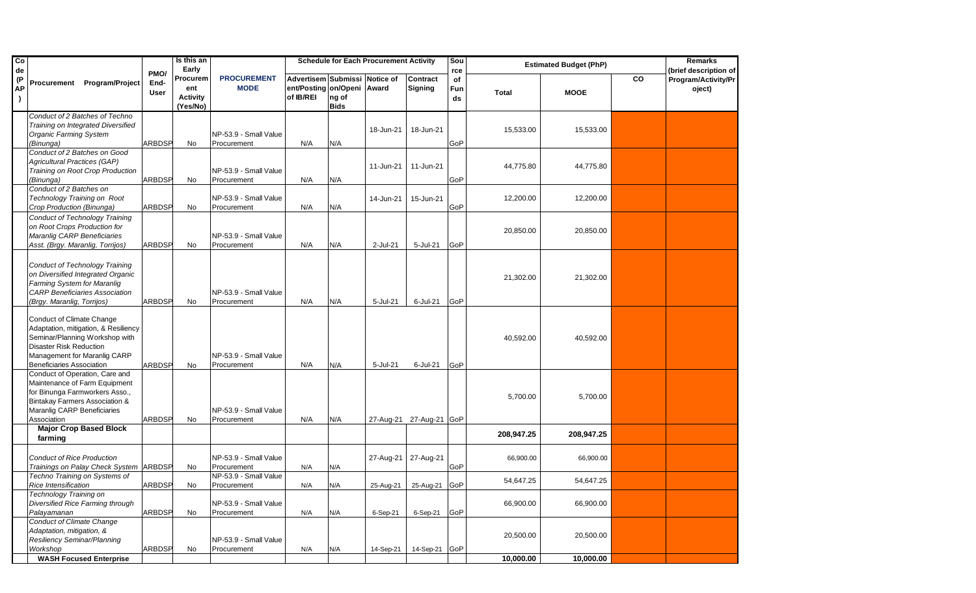| Co<br>de |                                                                                                                                                                                                           |                             | Is this an<br>Early                            |                                      |                                                                          |                      | <b>Schedule for Each Procurement Activity</b> |                            | Sou<br>rce      |            | <b>Estimated Budget (PhP)</b> |    | Remarks<br>(brief description of |
|----------|-----------------------------------------------------------------------------------------------------------------------------------------------------------------------------------------------------------|-----------------------------|------------------------------------------------|--------------------------------------|--------------------------------------------------------------------------|----------------------|-----------------------------------------------|----------------------------|-----------------|------------|-------------------------------|----|----------------------------------|
| (P<br>АΡ | Program/Project<br>Procurement                                                                                                                                                                            | PMO/<br>End-<br><b>User</b> | Procurem<br>ent<br><b>Activity</b><br>(Yes/No) | <b>PROCUREMENT</b><br><b>MODE</b>    | Advertisem Submissi Notice of<br>ent/Posting on/Openi Award<br>of IB/REI | ng of<br><b>Bids</b> |                                               | Contract<br><b>Signing</b> | of<br>Fun<br>ds | Total      | <b>MOOE</b>                   | CO | Program/Activity/Pr<br>oject)    |
|          | Conduct of 2 Batches of Techno                                                                                                                                                                            |                             |                                                |                                      |                                                                          |                      |                                               |                            |                 |            |                               |    |                                  |
|          | Training on Integrated Diversified                                                                                                                                                                        |                             |                                                |                                      |                                                                          |                      |                                               |                            |                 |            |                               |    |                                  |
|          | <b>Organic Farming System</b>                                                                                                                                                                             |                             |                                                | NP-53.9 - Small Value                |                                                                          |                      | 18-Jun-21                                     | 18-Jun-21                  |                 | 15,533.00  | 15,533.00                     |    |                                  |
|          | (Binunga)                                                                                                                                                                                                 | <b>ARBDSP</b>               | No                                             | Procurement                          | N/A                                                                      | N/A                  |                                               |                            | GoP             |            |                               |    |                                  |
|          | Conduct of 2 Batches on Good                                                                                                                                                                              |                             |                                                |                                      |                                                                          |                      |                                               |                            |                 |            |                               |    |                                  |
|          | <b>Agricultural Practices (GAP)</b>                                                                                                                                                                       |                             |                                                |                                      |                                                                          |                      | 11-Jun-21                                     | 11-Jun-21                  |                 | 44,775.80  | 44,775.80                     |    |                                  |
|          | Training on Root Crop Production                                                                                                                                                                          |                             |                                                | NP-53.9 - Small Value                |                                                                          |                      |                                               |                            |                 |            |                               |    |                                  |
|          | (Binunga)                                                                                                                                                                                                 | <b>ARBDSP</b>               | No                                             | Procurement                          | N/A                                                                      | N/A                  |                                               |                            | GoP             |            |                               |    |                                  |
|          | Conduct of 2 Batches on                                                                                                                                                                                   |                             |                                                |                                      |                                                                          |                      |                                               |                            |                 |            |                               |    |                                  |
|          | Technology Training on Root                                                                                                                                                                               |                             |                                                | NP-53.9 - Small Value                |                                                                          |                      | 14-Jun-21                                     | 15-Jun-21                  |                 | 12,200.00  | 12,200.00                     |    |                                  |
|          | Crop Production (Binunga)                                                                                                                                                                                 | ARBDSP                      | No                                             | Procurement                          | N/A                                                                      | N/A                  |                                               |                            | GoP             |            |                               |    |                                  |
|          | <b>Conduct of Technology Training</b>                                                                                                                                                                     |                             |                                                |                                      |                                                                          |                      |                                               |                            |                 |            |                               |    |                                  |
|          | on Root Crops Production for                                                                                                                                                                              |                             |                                                |                                      |                                                                          |                      |                                               |                            |                 | 20,850.00  | 20,850.00                     |    |                                  |
|          | Maranlig CARP Beneficiaries                                                                                                                                                                               |                             |                                                | NP-53.9 - Small Value                |                                                                          |                      |                                               |                            |                 |            |                               |    |                                  |
|          | Asst. (Brgy. Maranlig, Torrijos)                                                                                                                                                                          | <b>ARBDSP</b>               | No                                             | Procurement                          | N/A                                                                      | N/A                  | 2-Jul-21                                      | 5-Jul-21                   | GoP             |            |                               |    |                                  |
|          | <b>Conduct of Technology Training</b><br>on Diversified Integrated Organic<br>Farming System for Maranlig<br><b>CARP Beneficiaries Association</b><br>(Brgy. Maranlig, Torrijos)                          | ARBDSP                      | No                                             | NP-53.9 - Small Value<br>Procurement | N/A                                                                      | N/A                  | 5-Jul-21                                      | 6-Jul-21                   | GoP             | 21,302.00  | 21,302.00                     |    |                                  |
|          |                                                                                                                                                                                                           |                             |                                                |                                      |                                                                          |                      |                                               |                            |                 |            |                               |    |                                  |
|          | <b>Conduct of Climate Change</b><br>Adaptation, mitigation, & Resiliency<br>Seminar/Planning Workshop with<br>Disaster Risk Reduction<br>Management for Maranlig CARP<br><b>Beneficiaries Association</b> | <b>ARBDSP</b>               | No                                             | NP-53.9 - Small Value<br>Procurement | N/A                                                                      | N/A                  | 5-Jul-21                                      | 6-Jul-21                   | GoP             | 40,592.00  | 40,592.00                     |    |                                  |
|          | Conduct of Operation, Care and                                                                                                                                                                            |                             |                                                |                                      |                                                                          |                      |                                               |                            |                 |            |                               |    |                                  |
|          | Maintenance of Farm Equipment<br>for Binunga Farmworkers Asso.,<br>Bintakay Farmers Association &<br>Maranlig CARP Beneficiaries<br>Association                                                           | <b>ARBDSP</b>               | No                                             | NP-53.9 - Small Value<br>Procurement | N/A                                                                      | N/A                  |                                               | 27-Aug-21 27-Aug-21 GoP    |                 | 5,700.00   | 5,700.00                      |    |                                  |
|          | <b>Major Crop Based Block</b>                                                                                                                                                                             |                             |                                                |                                      |                                                                          |                      |                                               |                            |                 | 208,947.25 | 208,947.25                    |    |                                  |
|          | farming                                                                                                                                                                                                   |                             |                                                |                                      |                                                                          |                      |                                               |                            |                 |            |                               |    |                                  |
|          | <b>Conduct of Rice Production</b><br>Trainings on Palay Check System ARBDSP                                                                                                                               |                             | No                                             | NP-53.9 - Small Value<br>Procurement | N/A                                                                      | N/A                  | 27-Aug-21                                     | 27-Aug-21                  | GoP             | 66,900.00  | 66,900.00                     |    |                                  |
|          | Techno Training on Systems of                                                                                                                                                                             |                             |                                                | NP-53.9 - Small Value                |                                                                          |                      |                                               |                            |                 | 54,647.25  | 54,647.25                     |    |                                  |
|          | Rice Intensification                                                                                                                                                                                      | <b>ARBDSP</b>               | No                                             | Procurement                          | N/A                                                                      | N/A                  | 25-Aug-21                                     | 25-Aug-21 GoP              |                 |            |                               |    |                                  |
|          | Technology Training on<br>Diversified Rice Farming through                                                                                                                                                |                             |                                                | NP-53.9 - Small Value                |                                                                          |                      |                                               |                            |                 | 66,900.00  | 66,900.00                     |    |                                  |
|          | Palayamanan                                                                                                                                                                                               | <b>ARBDSP</b>               | No                                             | Procurement                          | N/A                                                                      | N/A                  | 6-Sep-21                                      | 6-Sep-21                   | GoP             |            |                               |    |                                  |
|          | <b>Conduct of Climate Change</b>                                                                                                                                                                          |                             |                                                |                                      |                                                                          |                      |                                               |                            |                 |            |                               |    |                                  |
|          | Adaptation, mitigation, &                                                                                                                                                                                 |                             |                                                |                                      |                                                                          |                      |                                               |                            |                 |            |                               |    |                                  |
|          | <b>Resiliency Seminar/Planning</b>                                                                                                                                                                        |                             |                                                | NP-53.9 - Small Value                |                                                                          |                      |                                               |                            |                 | 20,500.00  | 20,500.00                     |    |                                  |
|          | Workshop                                                                                                                                                                                                  | <b>ARBDSP</b>               | No                                             | Procurement                          | N/A                                                                      | N/A                  | 14-Sep-21                                     | 14-Sep-21                  | <b>GoP</b>      |            |                               |    |                                  |
|          | <b>WASH Focused Enterprise</b>                                                                                                                                                                            |                             |                                                |                                      |                                                                          |                      |                                               |                            |                 | 10,000.00  | 10,000.00                     |    |                                  |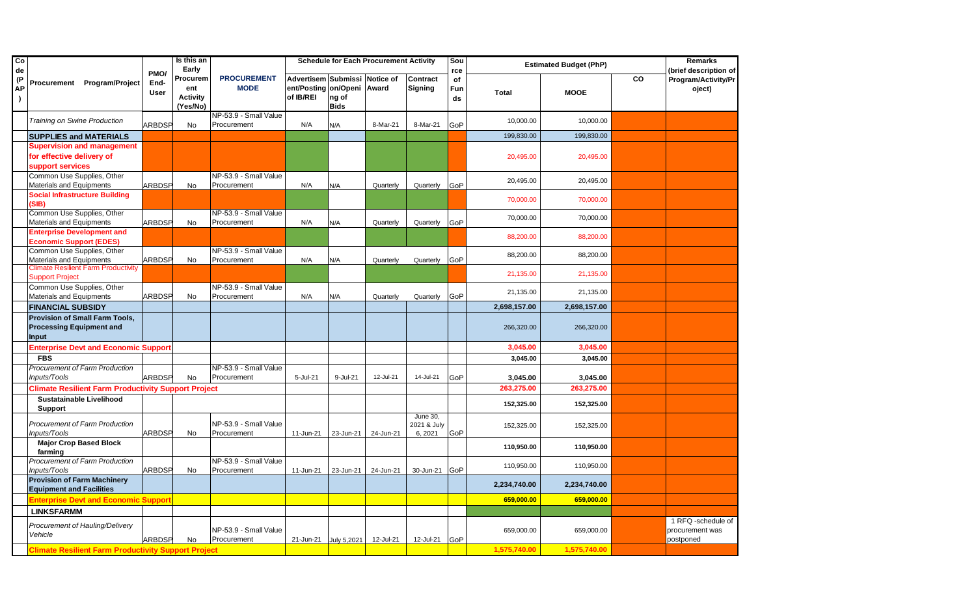| Co<br>de               |                                                                                          |                      | Is this an<br>Early                            |                                      |                                                                    |                      | <b>Schedule for Each Procurement Activity</b> |                                   | Sou<br>rce      |              | <b>Estimated Budget (PhP)</b> |           | <b>Remarks</b><br>(brief description of            |
|------------------------|------------------------------------------------------------------------------------------|----------------------|------------------------------------------------|--------------------------------------|--------------------------------------------------------------------|----------------------|-----------------------------------------------|-----------------------------------|-----------------|--------------|-------------------------------|-----------|----------------------------------------------------|
| (P)<br>АP<br>$\lambda$ | Procurement Program/Project                                                              | PMO/<br>End-<br>User | Procurem<br>ent<br><b>Activity</b><br>(Yes/No) | <b>PROCUREMENT</b><br><b>MODE</b>    | Advertisem Submissi Notice of<br>ent/Posting on/Openi<br>of IB/REI | ng of<br><b>Bids</b> | Award                                         | Contract<br><b>Signing</b>        | of<br>Fun<br>ds | <b>Total</b> | <b>MOOE</b>                   | <b>CO</b> | Program/Activity/Pr<br>oject)                      |
|                        | Training on Swine Production                                                             | ARBDSP               | No                                             | NP-53.9 - Small Value<br>Procurement | N/A                                                                | N/A                  | 8-Mar-21                                      | 8-Mar-21                          | GoP             | 10,000.00    | 10,000.00                     |           |                                                    |
|                        | <b>SUPPLIES and MATERIALS</b>                                                            |                      |                                                |                                      |                                                                    |                      |                                               |                                   |                 | 199,830.00   | 199,830.00                    |           |                                                    |
|                        | <b>Supervision and management</b><br>for effective delivery of<br>support services       |                      |                                                |                                      |                                                                    |                      |                                               |                                   |                 | 20,495.00    | 20,495.00                     |           |                                                    |
|                        | Common Use Supplies, Other<br>Materials and Equipments                                   | <b>ARBDSP</b>        | No                                             | NP-53.9 - Small Value<br>Procurement | N/A                                                                | N/A                  | Quarterly                                     | Quarterly                         | GoP             | 20,495.00    | 20,495.00                     |           |                                                    |
|                        | <b>Social Infrastructure Building</b><br>(SIB)                                           |                      |                                                |                                      |                                                                    |                      |                                               |                                   |                 | 70,000.00    | 70,000.00                     |           |                                                    |
|                        | Common Use Supplies, Other<br>Materials and Equipments                                   | <b>ARBDSP</b>        | <b>No</b>                                      | NP-53.9 - Small Value<br>Procurement | N/A                                                                | N/A                  | Quarterly                                     | Quarterly                         | GoP             | 70,000.00    | 70,000.00                     |           |                                                    |
|                        | <b>Enterprise Development and</b><br><b>Economic Support (EDES)</b>                      |                      |                                                |                                      |                                                                    |                      |                                               |                                   |                 | 88,200.00    | 88,200.00                     |           |                                                    |
|                        | Common Use Supplies, Other<br>Materials and Equipments                                   | ARBDSP               | No                                             | NP-53.9 - Small Value<br>Procurement | N/A                                                                | N/A                  | Quarterly                                     | Quarterly                         | GoP             | 88,200.00    | 88,200.00                     |           |                                                    |
|                        | <b>Climate Resilient Farm Productivity</b><br><b>Support Project</b>                     |                      |                                                |                                      |                                                                    |                      |                                               |                                   |                 | 21,135.00    | 21,135.00                     |           |                                                    |
|                        | Common Use Supplies, Other<br>Materials and Equipments                                   | ARBDSP               | No                                             | NP-53.9 - Small Value<br>Procurement | N/A                                                                | N/A                  | Quarterly                                     | Quarterly                         | GoP             | 21,135.00    | 21,135.00                     |           |                                                    |
|                        | <b>FINANCIAL SUBSIDY</b>                                                                 |                      |                                                |                                      |                                                                    |                      |                                               |                                   |                 | 2,698,157.00 | 2,698,157.00                  |           |                                                    |
|                        | <b>Provision of Small Farm Tools,</b><br><b>Processing Equipment and</b><br><b>Input</b> |                      |                                                |                                      |                                                                    |                      |                                               |                                   |                 | 266,320.00   | 266,320.00                    |           |                                                    |
|                        | <b>Enterprise Devt and Economic Support</b>                                              |                      |                                                |                                      |                                                                    |                      |                                               |                                   |                 | 3,045.00     | 3,045.00                      |           |                                                    |
|                        | <b>FBS</b>                                                                               |                      |                                                |                                      |                                                                    |                      |                                               |                                   |                 | 3,045.00     | 3,045.00                      |           |                                                    |
|                        | <b>Procurement of Farm Production</b><br>Inputs/Tools                                    | <b>ARBDSP</b>        | No.                                            | NP-53.9 - Small Value<br>Procurement | 5-Jul-21                                                           | 9-Jul-21             | 12-Jul-21                                     | 14-Jul-21                         | GoP             | 3,045.00     | 3,045.00                      |           |                                                    |
|                        | <b>Climate Resilient Farm Productivity Support Project</b>                               |                      |                                                |                                      |                                                                    |                      |                                               |                                   |                 | 263,275.00   | 263,275.00                    |           |                                                    |
|                        | <b>Sustatainable Livelihood</b><br><b>Support</b>                                        |                      |                                                |                                      |                                                                    |                      |                                               |                                   |                 | 152,325.00   | 152,325.00                    |           |                                                    |
|                        | <b>Procurement of Farm Production</b><br>Inputs/Tools                                    | <b>ARBDSP</b>        | No                                             | NP-53.9 - Small Value<br>Procurement | 11-Jun-21                                                          | 23-Jun-21            | 24-Jun-21                                     | June 30.<br>2021 & July<br>6,2021 | GoP             | 152,325.00   | 152,325.00                    |           |                                                    |
|                        | <b>Major Crop Based Block</b><br>farming                                                 |                      |                                                |                                      |                                                                    |                      |                                               |                                   |                 | 110,950.00   | 110,950.00                    |           |                                                    |
|                        | Procurement of Farm Production<br>Inputs/Tools                                           | <b>ARBDSP</b>        | No                                             | NP-53.9 - Small Value<br>Procurement | 11-Jun-21                                                          | 23-Jun-21            | 24-Jun-21                                     | 30-Jun-21                         | GoP             | 110,950.00   | 110,950.00                    |           |                                                    |
|                        | <b>Provision of Farm Machinery</b><br><b>Equipment and Facilities</b>                    |                      |                                                |                                      |                                                                    |                      |                                               |                                   |                 | 2,234,740.00 | 2,234,740.00                  |           |                                                    |
|                        | <b>Enterprise Devt and Economic Suppor</b>                                               |                      |                                                |                                      |                                                                    |                      |                                               |                                   |                 | 659,000.00   | 659,000.00                    |           |                                                    |
|                        | <b>LINKSFARMM</b>                                                                        |                      |                                                |                                      |                                                                    |                      |                                               |                                   |                 |              |                               |           |                                                    |
|                        | Procurement of Hauling/Delivery<br>Vehicle                                               | <b>ARBDSP</b>        | No                                             | NP-53.9 - Small Value<br>Procurement | 21-Jun-21                                                          | July 5,2021          | 12-Jul-21                                     | 12-Jul-21                         | GoP             | 659,000.00   | 659,000.00                    |           | 1 RFQ -schedule of<br>procurement was<br>postponed |
|                        | <b>Climate Resilient Farm Productivity Support Project</b>                               |                      |                                                |                                      |                                                                    |                      |                                               |                                   |                 | 1,575,740.00 | 1,575,740.00                  |           |                                                    |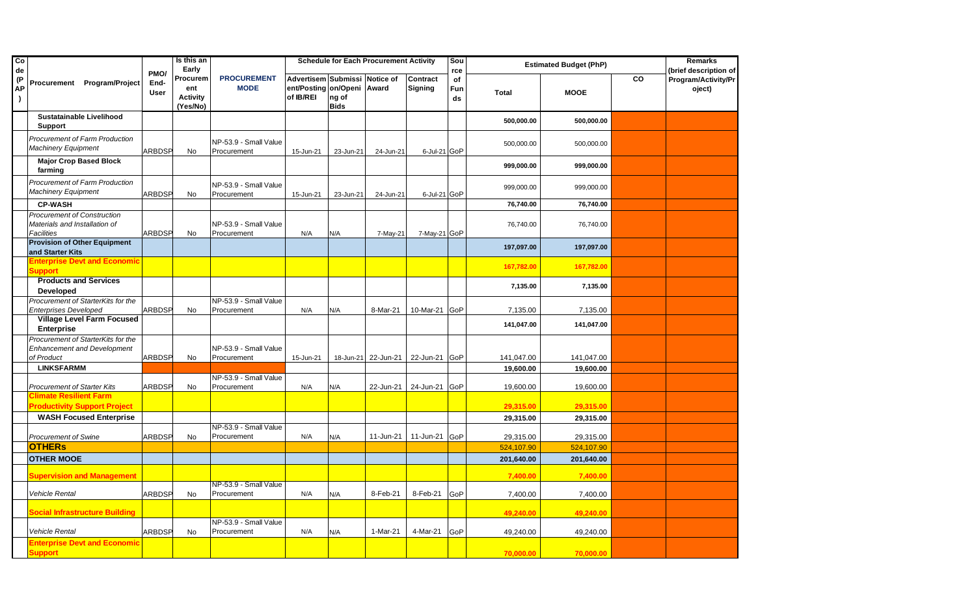| $\overline{c}$<br>de  |                                                                                          |                             | Is this an<br>Early                            |                                      |                                                                          |                      | <b>Schedule for Each Procurement Activity</b> |                     | Sou<br>rce      |                        | <b>Estimated Budget (PhP)</b> |           | <b>Remarks</b><br>(brief description of |
|-----------------------|------------------------------------------------------------------------------------------|-----------------------------|------------------------------------------------|--------------------------------------|--------------------------------------------------------------------------|----------------------|-----------------------------------------------|---------------------|-----------------|------------------------|-------------------------------|-----------|-----------------------------------------|
| (P<br>АΡ<br>$\lambda$ | Procurement Program/Project                                                              | PMO/<br>End-<br><b>User</b> | Procurem<br>ent<br><b>Activity</b><br>(Yes/No) | <b>PROCUREMENT</b><br><b>MODE</b>    | Advertisem Submissi Notice of<br>ent/Posting on/Openi Award<br>of IB/REI | ng of<br><b>Bids</b> |                                               | Contract<br>Signing | of<br>Fun<br>ds | <b>Total</b>           | <b>MOOE</b>                   | <b>CO</b> | Program/Activity/Pr<br>oject)           |
|                       | <b>Sustatainable Livelihood</b><br><b>Support</b>                                        |                             |                                                |                                      |                                                                          |                      |                                               |                     |                 | 500,000.00             | 500,000.00                    |           |                                         |
|                       | Procurement of Farm Production<br><b>Machinery Equipment</b>                             | ARBDSP                      | No                                             | NP-53.9 - Small Value<br>Procurement | 15-Jun-21                                                                | 23-Jun-21            | 24-Jun-21                                     | 6-Jul-21 GoP        |                 | 500,000.00             | 500,000.00                    |           |                                         |
|                       | <b>Major Crop Based Block</b><br>farming                                                 |                             |                                                |                                      |                                                                          |                      |                                               |                     |                 | 999,000.00             | 999,000.00                    |           |                                         |
|                       | Procurement of Farm Production<br><b>Machinery Equipment</b>                             | <b>ARBDSP</b>               | No                                             | NP-53.9 - Small Value<br>Procurement | 15-Jun-21                                                                | 23-Jun-21            | 24-Jun-21                                     | 6-Jul-21 GoP        |                 | 999,000.00             | 999,000.00                    |           |                                         |
|                       | <b>CP-WASH</b>                                                                           |                             |                                                |                                      |                                                                          |                      |                                               |                     |                 | 76,740.00              | 76,740.00                     |           |                                         |
|                       | <b>Procurement of Construction</b><br>Materials and Installation of<br><b>Facilities</b> | <b>ARBDSP</b>               | No                                             | NP-53.9 - Small Value<br>Procurement | N/A                                                                      | N/A                  | 7-May-21                                      | 7-May-21 GoP        |                 | 76,740.00              | 76,740.00                     |           |                                         |
|                       | <b>Provision of Other Equipment</b><br>and Starter Kits                                  |                             |                                                |                                      |                                                                          |                      |                                               |                     |                 | 197,097.00             | 197,097.00                    |           |                                         |
|                       | <b>Enterprise Devt and Economic</b><br><b>Support</b>                                    |                             |                                                |                                      |                                                                          |                      |                                               |                     |                 | 167,782.00             | 167,782.00                    |           |                                         |
|                       | <b>Products and Services</b><br><b>Developed</b>                                         |                             |                                                |                                      |                                                                          |                      |                                               |                     |                 | 7,135.00               | 7,135.00                      |           |                                         |
|                       | Procurement of StarterKits for the                                                       |                             |                                                | NP-53.9 - Small Value                |                                                                          |                      |                                               |                     |                 |                        |                               |           |                                         |
|                       | <b>Enterprises Developed</b><br><b>Village Level Farm Focused</b><br><b>Enterprise</b>   | ARBDSP                      | <b>No</b>                                      | Procurement                          | N/A                                                                      | N/A                  | 8-Mar-21                                      | 10-Mar-21 GoP       |                 | 7,135.00<br>141,047.00 | 7,135.00<br>141,047.00        |           |                                         |
|                       | Procurement of StarterKits for the<br><b>Enhancement and Development</b><br>of Product   | ARBDSP                      | <b>No</b>                                      | NP-53.9 - Small Value<br>Procurement | 15-Jun-21                                                                |                      | 18-Jun-21 22-Jun-21                           | 22-Jun-21 GoP       |                 | 141,047.00             | 141,047.00                    |           |                                         |
|                       | <b>LINKSFARMM</b>                                                                        |                             |                                                |                                      |                                                                          |                      |                                               |                     |                 | 19,600.00              | 19,600.00                     |           |                                         |
|                       | <b>Procurement of Starter Kits</b>                                                       | <b>ARBDSP</b>               | No                                             | NP-53.9 - Small Value<br>Procurement | N/A                                                                      | N/A                  | 22-Jun-21                                     | 24-Jun-21 GoP       |                 | 19,600.00              | 19,600.00                     |           |                                         |
|                       | <b>Climate Resilient Farm</b><br><b>Productivity Support Project</b>                     |                             |                                                |                                      |                                                                          |                      |                                               |                     |                 | 29,315.00              | 29,315.00                     |           |                                         |
|                       | <b>WASH Focused Enterprise</b>                                                           |                             |                                                |                                      |                                                                          |                      |                                               |                     |                 | 29,315.00              | 29,315.00                     |           |                                         |
|                       | <b>Procurement of Swine</b>                                                              | <b>ARBDSP</b>               | No                                             | NP-53.9 - Small Value<br>Procurement | N/A                                                                      | N/A                  | 11-Jun-21                                     | 11-Jun-21 GoP       |                 | 29,315.00              | 29,315.00                     |           |                                         |
|                       | <b>OTHERS</b>                                                                            |                             |                                                |                                      |                                                                          |                      |                                               |                     |                 | 524,107.90             | 524,107.90                    |           |                                         |
|                       | <b>OTHER MOOE</b>                                                                        |                             |                                                |                                      |                                                                          |                      |                                               |                     |                 | 201,640.00             | 201,640.00                    |           |                                         |
|                       | <b>Supervision and Management</b>                                                        |                             |                                                |                                      |                                                                          |                      |                                               |                     |                 | 7,400.00               | 7,400.00                      |           |                                         |
|                       | <b>Vehicle Rental</b>                                                                    | <b>ARBDSP</b>               | No                                             | NP-53.9 - Small Value<br>Procurement | N/A                                                                      | N/A                  | 8-Feb-21                                      | 8-Feb-21            | GoP             | 7,400.00               | 7,400.00                      |           |                                         |
|                       | <b>Social Infrastructure Building</b>                                                    |                             |                                                |                                      |                                                                          |                      |                                               |                     |                 | 49,240.00              | 49,240.00                     |           |                                         |
|                       | Vehicle Rental                                                                           | <b>ARBDSP</b>               | No                                             | NP-53.9 - Small Value<br>Procurement | N/A                                                                      | N/A                  | 1-Mar-21                                      | 4-Mar-21            | GoP             | 49,240.00              | 49,240.00                     |           |                                         |
|                       | <b>Enterprise Devt and Economic</b><br><b>Support</b>                                    |                             |                                                |                                      |                                                                          |                      |                                               |                     |                 | 70,000.00              | 70,000.00                     |           |                                         |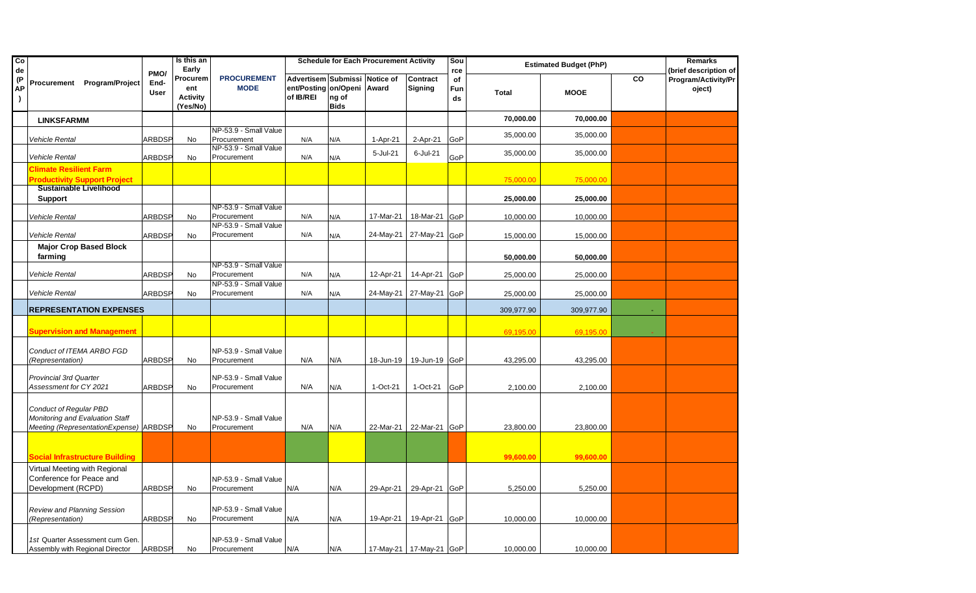| $\overline{c}$<br>de  |                                                                      |                             | Is this an<br>Early                            |                                      |                                        |                                                           | <b>Schedule for Each Procurement Activity</b> |                            | Sou<br>rce      |              | <b>Estimated Budget (PhP)</b> |    | <b>Remarks</b><br>(brief description of |
|-----------------------|----------------------------------------------------------------------|-----------------------------|------------------------------------------------|--------------------------------------|----------------------------------------|-----------------------------------------------------------|-----------------------------------------------|----------------------------|-----------------|--------------|-------------------------------|----|-----------------------------------------|
| (P<br>АP<br>$\lambda$ | Procurement Program/Project                                          | PMO/<br>End-<br><b>User</b> | Procurem<br>ent<br><b>Activity</b><br>(Yes/No) | <b>PROCUREMENT</b><br><b>MODE</b>    | Advertisem<br>ent/Posting<br>of IB/REI | <b>Submissi</b><br>on/Openi Award<br>ng of<br><b>Bids</b> | Notice of                                     | Contract<br><b>Signing</b> | of<br>Fun<br>ds | <b>Total</b> | <b>MOOE</b>                   | CO | <b>Program/Activity/Pr</b><br>oject)    |
|                       | <b>LINKSFARMM</b>                                                    |                             |                                                |                                      |                                        |                                                           |                                               |                            |                 | 70,000.00    | 70,000.00                     |    |                                         |
|                       |                                                                      |                             |                                                | NP-53.9 - Small Value                |                                        |                                                           |                                               |                            |                 | 35,000.00    | 35,000.00                     |    |                                         |
|                       | <b>Vehicle Rental</b>                                                | <b>ARBDSP</b>               | No                                             | Procurement                          | N/A                                    | N/A                                                       | 1-Apr-21                                      | 2-Apr-21                   | GoP             |              |                               |    |                                         |
|                       |                                                                      |                             |                                                | NP-53.9 - Small Value<br>Procurement |                                        |                                                           | 5-Jul-21                                      | 6-Jul-21                   | GoP             | 35,000.00    | 35,000.00                     |    |                                         |
|                       | <b>Vehicle Rental</b>                                                | ARBDSP                      | No                                             |                                      | N/A                                    | N/A                                                       |                                               |                            |                 |              |                               |    |                                         |
|                       | <b>Climate Resilient Farm</b>                                        |                             |                                                |                                      |                                        |                                                           |                                               |                            |                 |              |                               |    |                                         |
|                       | <b>Productivity Support Project</b><br><b>Sustainable Livelihood</b> |                             |                                                |                                      |                                        |                                                           |                                               |                            |                 | 75,000.00    | 75,000.00                     |    |                                         |
|                       | <b>Support</b>                                                       |                             |                                                |                                      |                                        |                                                           |                                               |                            |                 | 25,000.00    | 25,000.00                     |    |                                         |
|                       |                                                                      |                             |                                                | NP-53.9 - Small Value                |                                        |                                                           |                                               |                            |                 |              |                               |    |                                         |
|                       | Vehicle Rental                                                       | <b>ARBDSP</b>               | No                                             | Procurement                          | N/A                                    | N/A                                                       | 17-Mar-21                                     | 18-Mar-21                  | GoP             | 10,000.00    | 10,000.00                     |    |                                         |
|                       |                                                                      |                             |                                                | NP-53.9 - Small Value                |                                        |                                                           |                                               |                            |                 |              |                               |    |                                         |
|                       | Vehicle Rental                                                       | ARBDSP                      | No                                             | Procurement                          | N/A                                    | N/A                                                       | 24-May-21                                     | 27-May-21                  | GoP             | 15,000.00    | 15,000.00                     |    |                                         |
|                       | <b>Major Crop Based Block</b>                                        |                             |                                                |                                      |                                        |                                                           |                                               |                            |                 |              |                               |    |                                         |
|                       | farming                                                              |                             |                                                | NP-53.9 - Small Value                |                                        |                                                           |                                               |                            |                 | 50,000.00    | 50,000.00                     |    |                                         |
|                       | Vehicle Rental                                                       | ARBDSP                      | No                                             | Procurement                          | N/A                                    | N/A                                                       | 12-Apr-21                                     | 14-Apr-21                  | GoP             | 25,000.00    | 25,000.00                     |    |                                         |
|                       |                                                                      |                             |                                                | NP-53.9 - Small Value                |                                        |                                                           |                                               |                            |                 |              |                               |    |                                         |
|                       | Vehicle Rental                                                       | ARBDSP                      | <b>No</b>                                      | Procurement                          | N/A                                    | N/A                                                       | 24-May-21                                     | 27-May-21                  | GoP             | 25,000.00    | 25,000.00                     |    |                                         |
|                       | <b>REPRESENTATION EXPENSES</b>                                       |                             |                                                |                                      |                                        |                                                           |                                               |                            |                 | 309,977.90   | 309,977.90                    |    |                                         |
|                       |                                                                      |                             |                                                |                                      |                                        |                                                           |                                               |                            |                 |              |                               |    |                                         |
|                       | <b>Supervision and Management</b>                                    |                             |                                                |                                      |                                        |                                                           |                                               |                            |                 | 69,195.00    | 69,195.00                     |    |                                         |
|                       |                                                                      |                             |                                                |                                      |                                        |                                                           |                                               |                            |                 |              |                               |    |                                         |
|                       | Conduct of ITEMA ARBO FGD                                            |                             |                                                | NP-53.9 - Small Value                |                                        |                                                           |                                               |                            |                 |              |                               |    |                                         |
|                       | (Representation)                                                     | ARBDSP                      | No                                             | Procurement                          | N/A                                    | N/A                                                       | 18-Jun-19                                     | 19-Jun-19 GoP              |                 | 43,295.00    | 43,295.00                     |    |                                         |
|                       | <b>Provincial 3rd Quarter</b>                                        |                             |                                                | NP-53.9 - Small Value                |                                        |                                                           |                                               |                            |                 |              |                               |    |                                         |
|                       | Assessment for CY 2021                                               | ARBDSP                      | No                                             | Procurement                          | N/A                                    | N/A                                                       | 1-Oct-21                                      | 1-Oct-21                   | GoP             | 2,100.00     | 2,100.00                      |    |                                         |
|                       |                                                                      |                             |                                                |                                      |                                        |                                                           |                                               |                            |                 |              |                               |    |                                         |
|                       | Conduct of Regular PBD                                               |                             |                                                |                                      |                                        |                                                           |                                               |                            |                 |              |                               |    |                                         |
|                       | Monitoring and Evaluation Staff                                      |                             |                                                | NP-53.9 - Small Value                |                                        |                                                           |                                               |                            |                 |              |                               |    |                                         |
|                       | Meeting (RepresentationExpense) ARBDSP                               |                             | No                                             | Procurement                          | N/A                                    | N/A                                                       |                                               | 22-Mar-21 22-Mar-21 GoP    |                 | 23,800.00    | 23,800.00                     |    |                                         |
|                       |                                                                      |                             |                                                |                                      |                                        |                                                           |                                               |                            |                 |              |                               |    |                                         |
|                       |                                                                      |                             |                                                |                                      |                                        |                                                           |                                               |                            |                 |              |                               |    |                                         |
|                       | Social Infrastructure Building                                       |                             |                                                |                                      |                                        |                                                           |                                               |                            |                 | 99,600.00    | 99,600.00                     |    |                                         |
|                       | Virtual Meeting with Regional                                        |                             |                                                |                                      |                                        |                                                           |                                               |                            |                 |              |                               |    |                                         |
|                       | Conference for Peace and                                             |                             |                                                | NP-53.9 - Small Value                |                                        |                                                           |                                               |                            |                 |              |                               |    |                                         |
|                       | Development (RCPD)                                                   | ARBDSP                      | <b>No</b>                                      | Procurement                          | N/A                                    | N/A                                                       | 29-Apr-21                                     | 29-Apr-21                  | GoP             | 5,250.00     | 5,250.00                      |    |                                         |
|                       |                                                                      |                             |                                                | NP-53.9 - Small Value                |                                        |                                                           |                                               |                            |                 |              |                               |    |                                         |
|                       | Review and Planning Session<br>(Representation)                      | ARBDSP                      | No                                             | Procurement                          | N/A                                    | N/A                                                       | 19-Apr-21                                     | 19-Apr-21                  | GoP             | 10,000.00    | 10,000.00                     |    |                                         |
|                       |                                                                      |                             |                                                |                                      |                                        |                                                           |                                               |                            |                 |              |                               |    |                                         |
|                       | 1st Quarter Assessment cum Gen.                                      |                             |                                                | NP-53.9 - Small Value                |                                        |                                                           |                                               |                            |                 |              |                               |    |                                         |
|                       | Assembly with Regional Director                                      | ARBDSP                      | No                                             | Procurement                          | N/A                                    | N/A                                                       |                                               | 17-May-21   17-May-21 GoP  |                 | 10,000.00    | 10,000.00                     |    |                                         |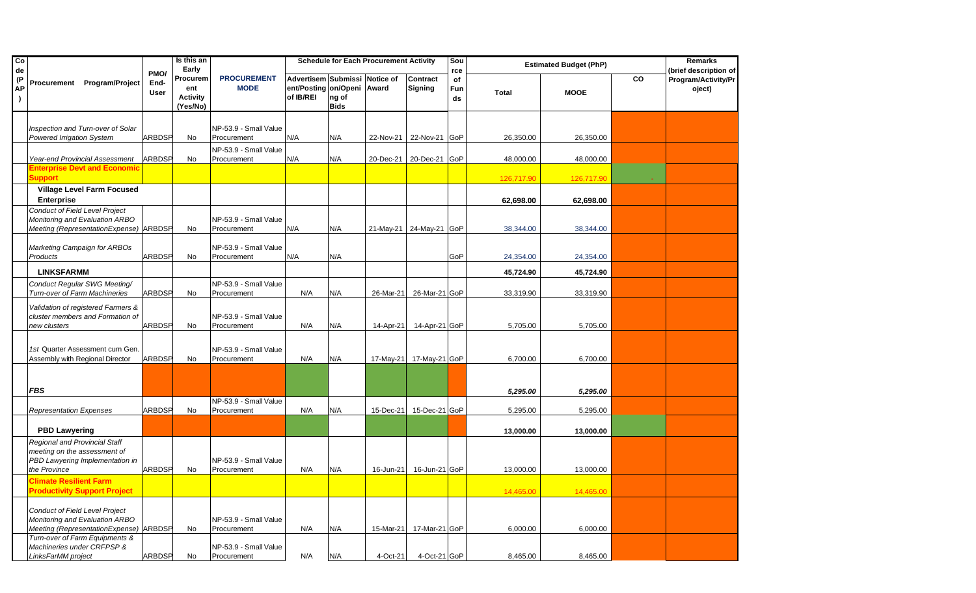| $\overline{c}$<br>de  |                                                                                                                         |                             | Is this an<br>Early                            |                                      |                                                                    |                      | <b>Schedule for Each Procurement Activity</b> |                         | Sou<br>rce      |              | <b>Estimated Budget (PhP)</b> |    | <b>Remarks</b><br>(brief description of |
|-----------------------|-------------------------------------------------------------------------------------------------------------------------|-----------------------------|------------------------------------------------|--------------------------------------|--------------------------------------------------------------------|----------------------|-----------------------------------------------|-------------------------|-----------------|--------------|-------------------------------|----|-----------------------------------------|
| (P<br>АP<br>$\lambda$ | Procurement Program/Project                                                                                             | PMO/<br>End-<br><b>User</b> | Procurem<br>ent<br><b>Activity</b><br>(Yes/No) | <b>PROCUREMENT</b><br><b>MODE</b>    | Advertisem Submissi Notice of<br>ent/Posting on/Openi<br>of IB/REI | ng of<br><b>Bids</b> | Award                                         | Contract<br>Signing     | of<br>Fun<br>ds | <b>Total</b> | <b>MOOE</b>                   | CO | Program/Activity/Pr<br>oject)           |
|                       | Inspection and Turn-over of Solar<br>Powered Irrigation System                                                          | ARBDSP                      | No                                             | NP-53.9 - Small Value<br>Procurement | N/A                                                                | N/A                  | 22-Nov-21                                     | 22-Nov-21               | GoP             | 26,350.00    | 26,350.00                     |    |                                         |
|                       | Year-end Provincial Assessment                                                                                          | <b>ARBDSP</b>               | No                                             | NP-53.9 - Small Value<br>Procurement | N/A                                                                | N/A                  | 20-Dec-21                                     | 20-Dec-21               | GoP             | 48,000.00    | 48,000.00                     |    |                                         |
|                       | Enterprise Devt and Economic<br>Support                                                                                 |                             |                                                |                                      |                                                                    |                      |                                               |                         |                 | 126,717.90   | 126,717.90                    |    |                                         |
|                       | <b>Village Level Farm Focused</b><br><b>Enterprise</b>                                                                  |                             |                                                |                                      |                                                                    |                      |                                               |                         |                 | 62,698.00    | 62,698.00                     |    |                                         |
|                       | Conduct of Field Level Project<br>Monitoring and Evaluation ARBO<br>Meeting (RepresentationExpense) ARBDSP              |                             | No                                             | NP-53.9 - Small Value<br>Procurement | N/A                                                                | N/A                  |                                               | 21-May-21 24-May-21 GoP |                 | 38,344.00    | 38,344.00                     |    |                                         |
|                       | Marketing Campaign for ARBOs<br>Products                                                                                | <b>ARBDSP</b>               | No                                             | NP-53.9 - Small Value<br>Procurement | N/A                                                                | N/A                  |                                               |                         | GoP             | 24,354.00    | 24,354.00                     |    |                                         |
|                       | <b>LINKSFARMM</b>                                                                                                       |                             |                                                |                                      |                                                                    |                      |                                               |                         |                 | 45,724.90    | 45,724.90                     |    |                                         |
|                       | Conduct Regular SWG Meeting/<br>Turn-over of Farm Machineries                                                           | ARBDSP                      | No                                             | NP-53.9 - Small Value<br>Procurement | N/A                                                                | N/A                  | 26-Mar-21                                     | 26-Mar-21 GoP           |                 | 33,319.90    | 33,319.90                     |    |                                         |
|                       | Validation of registered Farmers &<br>cluster members and Formation of<br>new clusters                                  | <b>ARBDSP</b>               | No                                             | NP-53.9 - Small Value<br>Procurement | N/A                                                                | N/A                  | 14-Apr-21                                     | 14-Apr-21 GoP           |                 | 5,705.00     | 5,705.00                      |    |                                         |
|                       | 1st Quarter Assessment cum Gen.<br>Assembly with Regional Director                                                      | ARBDSP                      | No                                             | NP-53.9 - Small Value<br>Procurement | N/A                                                                | N/A                  | 17-May-21                                     | 17-May-21 GoP           |                 | 6,700.00     | 6,700.00                      |    |                                         |
|                       | <b>FBS</b>                                                                                                              |                             |                                                |                                      |                                                                    |                      |                                               |                         |                 | 5,295.00     | 5,295.00                      |    |                                         |
|                       | <b>Representation Expenses</b>                                                                                          | ARBDSP                      | No                                             | NP-53.9 - Small Value<br>Procurement | N/A                                                                | N/A                  | 15-Dec-21                                     | 15-Dec-21 GoP           |                 | 5,295.00     | 5,295.00                      |    |                                         |
|                       | <b>PBD Lawyering</b>                                                                                                    |                             |                                                |                                      |                                                                    |                      |                                               |                         |                 | 13,000.00    | 13,000.00                     |    |                                         |
|                       | <b>Regional and Provincial Staff</b><br>meeting on the assessment of<br>PBD Lawyering Implementation in<br>the Province | <b>ARBDSP</b>               | No                                             | NP-53.9 - Small Value<br>Procurement | N/A                                                                | N/A                  | 16-Jun-21                                     | 16-Jun-21 GoP           |                 | 13,000.00    | 13,000.00                     |    |                                         |
|                       | <b>Climate Resilient Farm</b><br><b>Productivity Support Project</b>                                                    |                             |                                                |                                      |                                                                    |                      |                                               |                         |                 | 14,465.00    | 14,465.00                     |    |                                         |
|                       | <b>Conduct of Field Level Project</b><br>Monitoring and Evaluation ARBO<br>Meeting (RepresentationExpense)              | <b>ARBDSP</b>               | No                                             | NP-53.9 - Small Value<br>Procurement | N/A                                                                | N/A                  | 15-Mar-21                                     | 17-Mar-21 GoP           |                 | 6,000.00     | 6,000.00                      |    |                                         |
|                       | Turn-over of Farm Equipments &<br>Machineries under CRFPSP &<br>LinksFarMM project                                      | <b>ARBDSP</b>               | No                                             | NP-53.9 - Small Value<br>Procurement | N/A                                                                | N/A                  | 4-Oct-21                                      | 4-Oct-21 GoP            |                 | 8,465.00     | 8,465.00                      |    |                                         |